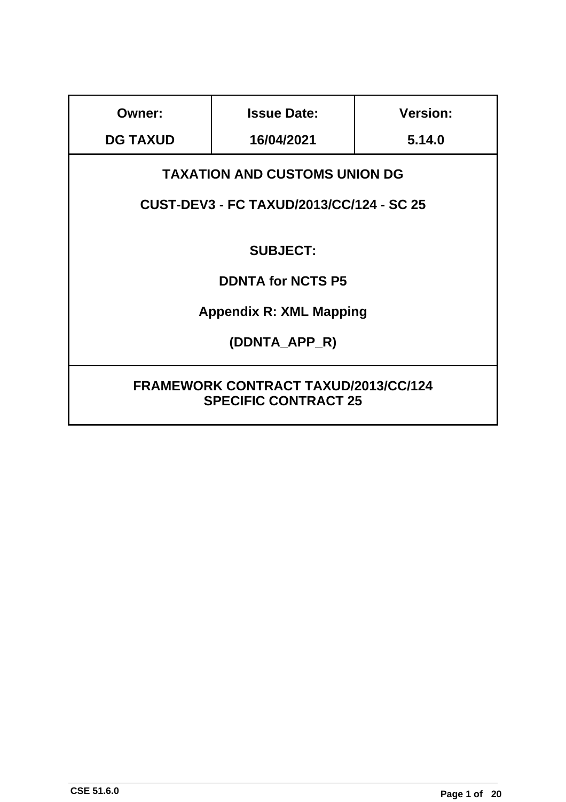| Owner:                                      | <b>Issue Date:</b> | <b>Version:</b> |  |  |  |
|---------------------------------------------|--------------------|-----------------|--|--|--|
| <b>DG TAXUD</b>                             | 16/04/2021         | 5.14.0          |  |  |  |
| <b>TAXATION AND CUSTOMS UNION DG</b>        |                    |                 |  |  |  |
| CUST-DEV3 - FC TAXUD/2013/CC/124 - SC 25    |                    |                 |  |  |  |
|                                             |                    |                 |  |  |  |
|                                             | <b>SUBJECT:</b>    |                 |  |  |  |
| <b>DDNTA for NCTS P5</b>                    |                    |                 |  |  |  |
| <b>Appendix R: XML Mapping</b>              |                    |                 |  |  |  |
| (DDNTA APP_R)                               |                    |                 |  |  |  |
|                                             |                    |                 |  |  |  |
| <b>FRAMEWORK CONTRACT TAXUD/2013/CC/124</b> |                    |                 |  |  |  |
| <b>SPECIFIC CONTRACT 25</b>                 |                    |                 |  |  |  |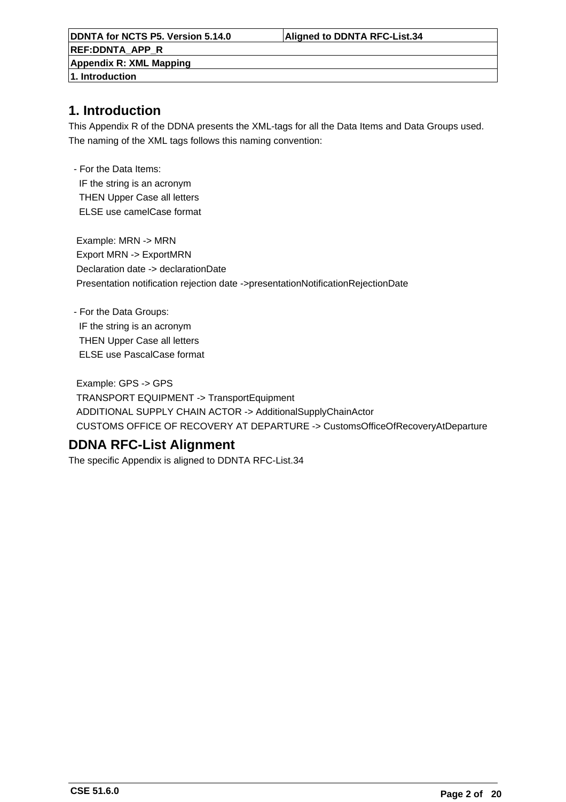**DDNTA for NCTS P5. Version 5.14.0 Aligned to DDNTA RFC-List.34 REF:DDNTA\_APP\_R Appendix R: XML Mapping 1. Introduction**

### **1. Introduction**

This Appendix R of the DDNA presents the XML-tags for all the Data Items and Data Groups used. The naming of the XML tags follows this naming convention:

 - For the Data Items: IF the string is an acronym THEN Upper Case all letters ELSE use camelCase format

 Example: MRN -> MRN Export MRN -> ExportMRN Declaration date -> declarationDate Presentation notification rejection date ->presentationNotificationRejectionDate

 - For the Data Groups: IF the string is an acronym THEN Upper Case all letters ELSE use PascalCase format

 Example: GPS -> GPS TRANSPORT EQUIPMENT -> TransportEquipment ADDITIONAL SUPPLY CHAIN ACTOR -> AdditionalSupplyChainActor CUSTOMS OFFICE OF RECOVERY AT DEPARTURE -> CustomsOfficeOfRecoveryAtDeparture

### **DDNA RFC-List Alignment**

The specific Appendix is aligned to DDNTA RFC-List.34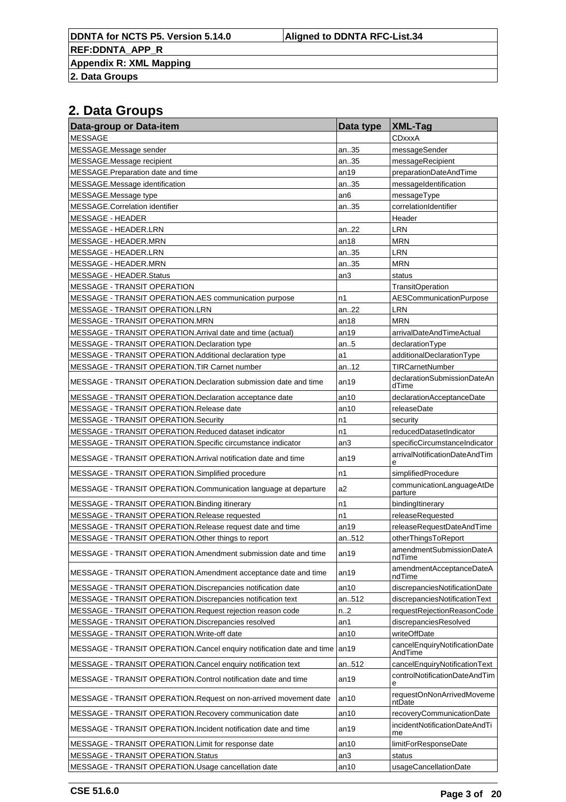**Appendix R: XML Mapping**

**2. Data Groups**

| Data-group or Data-item                                                | Data type | <b>XML-Tag</b>                           |
|------------------------------------------------------------------------|-----------|------------------------------------------|
| <b>MESSAGE</b>                                                         |           | CDxxxA                                   |
| MESSAGE.Message sender                                                 | an35      | messageSender                            |
| MESSAGE.Message recipient                                              | an35      | messageRecipient                         |
| MESSAGE.Preparation date and time                                      | an19      | preparationDateAndTime                   |
| MESSAGE.Message identification                                         | an35      | messageIdentification                    |
| MESSAGE.Message type                                                   | an6       | messageType                              |
| MESSAGE.Correlation identifier                                         | an35      | correlationIdentifier                    |
| <b>MESSAGE - HEADER</b>                                                |           | Header                                   |
| MESSAGE - HEADER.LRN                                                   | an22      | LRN                                      |
| MESSAGE - HEADER.MRN                                                   | an18      | <b>MRN</b>                               |
| MESSAGE - HEADER.LRN                                                   | an35      | LRN                                      |
| MESSAGE - HEADER.MRN                                                   | an35      | <b>MRN</b>                               |
| MESSAGE - HEADER.Status                                                | an3       | status                                   |
| MESSAGE - TRANSIT OPERATION                                            |           | <b>TransitOperation</b>                  |
| MESSAGE - TRANSIT OPERATION.AES communication purpose                  | n1        | <b>AESCommunicationPurpose</b>           |
| MESSAGE - TRANSIT OPERATION.LRN                                        | an22      | <b>LRN</b>                               |
| MESSAGE - TRANSIT OPERATION.MRN                                        | an18      | <b>MRN</b>                               |
| MESSAGE - TRANSIT OPERATION. Arrival date and time (actual)            | an19      | arrivalDateAndTimeActual                 |
| MESSAGE - TRANSIT OPERATION.Declaration type                           | an5       | declarationType                          |
| MESSAGE - TRANSIT OPERATION.Additional declaration type                | a1        | additionalDeclarationType                |
| MESSAGE - TRANSIT OPERATION. TIR Carnet number                         | an12      | <b>TIRCarnetNumber</b>                   |
| MESSAGE - TRANSIT OPERATION. Declaration submission date and time      | an19      | declarationSubmissionDateAn<br>dTime     |
| MESSAGE - TRANSIT OPERATION. Declaration acceptance date               | an10      | declarationAcceptanceDate                |
| MESSAGE - TRANSIT OPERATION.Release date                               | an10      | releaseDate                              |
| MESSAGE - TRANSIT OPERATION.Security                                   | n1        | security                                 |
| MESSAGE - TRANSIT OPERATION.Reduced dataset indicator                  | n1        | reducedDatasetIndicator                  |
| MESSAGE - TRANSIT OPERATION. Specific circumstance indicator           | an3       | specificCircumstanceIndicator            |
| MESSAGE - TRANSIT OPERATION.Arrival notification date and time         | an19      | arrivalNotificationDateAndTim<br>e       |
| MESSAGE - TRANSIT OPERATION.Simplified procedure                       | n1        | simplifiedProcedure                      |
| MESSAGE - TRANSIT OPERATION.Communication language at departure        | a2        | communicationLanguageAtDe<br>parture     |
| MESSAGE - TRANSIT OPERATION. Binding itinerary                         | n1        | bindingItinerary                         |
| MESSAGE - TRANSIT OPERATION.Release requested                          | n1        | releaseRequested                         |
| MESSAGE - TRANSIT OPERATION.Release request date and time              | an19      | releaseRequestDateAndTime                |
| MESSAGE - TRANSIT OPERATION. Other things to report                    | an512     | otherThingsToReport                      |
| MESSAGE - TRANSIT OPERATION.Amendment submission date and time         | an19      | amendmentSubmissionDateA<br>ndTime       |
| MESSAGE - TRANSIT OPERATION.Amendment acceptance date and time         | an19      | amendmentAcceptanceDateA<br>ndTime       |
| MESSAGE - TRANSIT OPERATION. Discrepancies notification date           | an10      | discrepanciesNotificationDate            |
| MESSAGE - TRANSIT OPERATION. Discrepancies notification text           | an512     | discrepanciesNotificationText            |
| MESSAGE - TRANSIT OPERATION.Request rejection reason code              | n.2       | requestRejectionReasonCode               |
| MESSAGE - TRANSIT OPERATION. Discrepancies resolved                    | an1       | discrepanciesResolved                    |
| MESSAGE - TRANSIT OPERATION. Write-off date                            | an10      | writeOffDate                             |
| MESSAGE - TRANSIT OPERATION. Cancel enquiry notification date and time | lan19     | cancelEnquiryNotificationDate<br>AndTime |
| MESSAGE - TRANSIT OPERATION.Cancel enquiry notification text           | an512     | cancelEnquiryNotificationText            |
| MESSAGE - TRANSIT OPERATION.Control notification date and time         | an19      | controlNotificationDateAndTim<br>е       |
| MESSAGE - TRANSIT OPERATION. Request on non-arrived movement date      | an10      | requestOnNonArrivedMoveme<br>ntDate      |
| MESSAGE - TRANSIT OPERATION.Recovery communication date                | an10      | recoveryCommunicationDate                |
| MESSAGE - TRANSIT OPERATION.Incident notification date and time        | an19      | incidentNotificationDateAndTi<br>me      |
| MESSAGE - TRANSIT OPERATION. Limit for response date                   | an10      | limitForResponseDate                     |
| MESSAGE - TRANSIT OPERATION.Status                                     | an3       | status                                   |
| MESSAGE - TRANSIT OPERATION.Usage cancellation date                    | an10      | usageCancellationDate                    |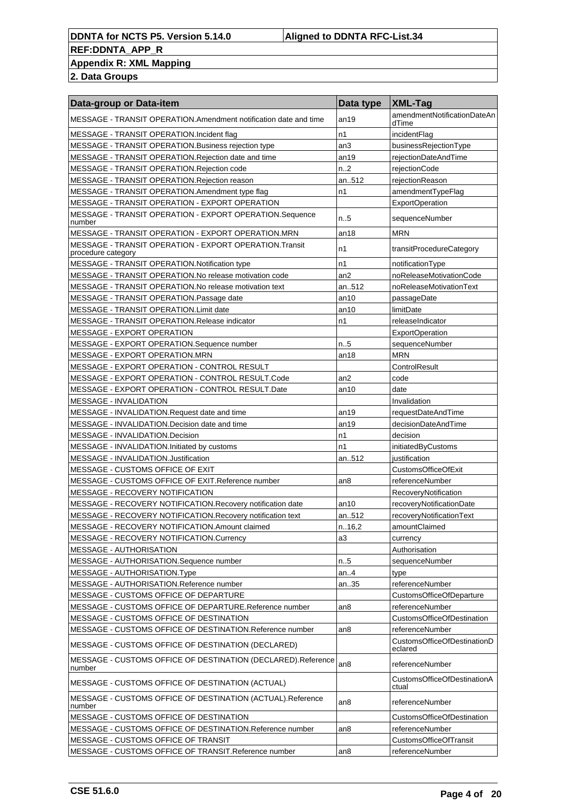#### **REF:DDNTA\_APP\_R Appendix R: XML Mapping**

| Data-group or Data-item                                                      | Data type       | <b>XML-Tag</b>                         |
|------------------------------------------------------------------------------|-----------------|----------------------------------------|
| MESSAGE - TRANSIT OPERATION.Amendment notification date and time             | an19            | amendmentNotificationDateAn<br>dTime   |
| MESSAGE - TRANSIT OPERATION. Incident flag                                   | n1              | incidentFlag                           |
| MESSAGE - TRANSIT OPERATION. Business rejection type                         | an3             | businessRejectionType                  |
| MESSAGE - TRANSIT OPERATION.Rejection date and time                          | an19            | rejectionDateAndTime                   |
| MESSAGE - TRANSIT OPERATION.Rejection code                                   | n.2             | rejectionCode                          |
| MESSAGE - TRANSIT OPERATION.Rejection reason                                 | an512           | rejectionReason                        |
| MESSAGE - TRANSIT OPERATION.Amendment type flag                              | n1              | amendmentTypeFlag                      |
| MESSAGE - TRANSIT OPERATION - EXPORT OPERATION                               |                 | <b>ExportOperation</b>                 |
| MESSAGE - TRANSIT OPERATION - EXPORT OPERATION.Sequence<br>number            | n.5             | sequenceNumber                         |
| MESSAGE - TRANSIT OPERATION - EXPORT OPERATION.MRN                           | an18            | <b>MRN</b>                             |
| MESSAGE - TRANSIT OPERATION - EXPORT OPERATION.Transit<br>procedure category | n1              | transitProcedureCategory               |
| MESSAGE - TRANSIT OPERATION.Notification type                                | n1              | notificationType                       |
| MESSAGE - TRANSIT OPERATION.No release motivation code                       | an2             | noReleaseMotivationCode                |
| MESSAGE - TRANSIT OPERATION.No release motivation text                       | an512           | noReleaseMotivationText                |
| MESSAGE - TRANSIT OPERATION.Passage date                                     | an10            | passageDate                            |
| MESSAGE - TRANSIT OPERATION.Limit date                                       | an10            | limitDate                              |
| MESSAGE - TRANSIT OPERATION.Release indicator                                | n1              | releaseIndicator                       |
| <b>MESSAGE - EXPORT OPERATION</b>                                            |                 | <b>ExportOperation</b>                 |
| MESSAGE - EXPORT OPERATION.Sequence number                                   | n.5             | sequenceNumber                         |
| MESSAGE - EXPORT OPERATION.MRN                                               | an18            | <b>MRN</b>                             |
| MESSAGE - EXPORT OPERATION - CONTROL RESULT                                  |                 | ControlResult                          |
| MESSAGE - EXPORT OPERATION - CONTROL RESULT.Code                             | an2             | code                                   |
| MESSAGE - EXPORT OPERATION - CONTROL RESULT.Date                             | an10            | date                                   |
| <b>MESSAGE - INVALIDATION</b>                                                |                 | Invalidation                           |
| MESSAGE - INVALIDATION.Request date and time                                 | an19            | requestDateAndTime                     |
| MESSAGE - INVALIDATION.Decision date and time                                | an19            | decisionDateAndTime                    |
| MESSAGE - INVALIDATION.Decision                                              | n1              | decision                               |
| MESSAGE - INVALIDATION.Initiated by customs                                  | n <sub>1</sub>  | initiatedByCustoms                     |
| MESSAGE - INVALIDATION.Justification                                         | an512           | justification                          |
| MESSAGE - CUSTOMS OFFICE OF EXIT                                             |                 | <b>CustomsOfficeOfExit</b>             |
| MESSAGE - CUSTOMS OFFICE OF EXIT.Reference number                            | an <sub>8</sub> | referenceNumber                        |
| <b>MESSAGE - RECOVERY NOTIFICATION</b>                                       |                 | RecoveryNotification                   |
|                                                                              |                 |                                        |
| MESSAGE - RECOVERY NOTIFICATION.Recovery notification date                   | an10            | recoveryNotificationDate               |
| MESSAGE - RECOVERY NOTIFICATION. Recovery notification text                  | an512           | recoveryNotificationText               |
| MESSAGE - RECOVERY NOTIFICATION.Amount claimed                               | n.16,2          | amountClaimed                          |
| MESSAGE - RECOVERY NOTIFICATION.Currency                                     | a3              | currency                               |
| <b>MESSAGE - AUTHORISATION</b>                                               |                 | Authorisation                          |
| MESSAGE - AUTHORISATION.Sequence number                                      | n.5             | sequenceNumber                         |
| MESSAGE - AUTHORISATION.Type                                                 | an. $4$         | type                                   |
| MESSAGE - AUTHORISATION.Reference number                                     | an35            | referenceNumber                        |
| MESSAGE - CUSTOMS OFFICE OF DEPARTURE                                        |                 | <b>CustomsOfficeOfDeparture</b>        |
| MESSAGE - CUSTOMS OFFICE OF DEPARTURE.Reference number                       | an <sub>8</sub> | referenceNumber                        |
| MESSAGE - CUSTOMS OFFICE OF DESTINATION                                      |                 | <b>CustomsOfficeOfDestination</b>      |
| MESSAGE - CUSTOMS OFFICE OF DESTINATION.Reference number                     | an8             | referenceNumber                        |
| MESSAGE - CUSTOMS OFFICE OF DESTINATION (DECLARED)                           |                 | CustomsOfficeOfDestinationD<br>eclared |
| MESSAGE - CUSTOMS OFFICE OF DESTINATION (DECLARED).Reference<br>number       | an8             | referenceNumber                        |
| MESSAGE - CUSTOMS OFFICE OF DESTINATION (ACTUAL)                             |                 | CustomsOfficeOfDestinationA<br>ctual   |
| MESSAGE - CUSTOMS OFFICE OF DESTINATION (ACTUAL).Reference<br>number         | an8             | referenceNumber                        |
| MESSAGE - CUSTOMS OFFICE OF DESTINATION                                      |                 | CustomsOfficeOfDestination             |
| MESSAGE - CUSTOMS OFFICE OF DESTINATION.Reference number                     | an8             | referenceNumber                        |
| MESSAGE - CUSTOMS OFFICE OF TRANSIT                                          |                 | <b>CustomsOfficeOfTransit</b>          |
| MESSAGE - CUSTOMS OFFICE OF TRANSIT.Reference number                         | an8             | referenceNumber                        |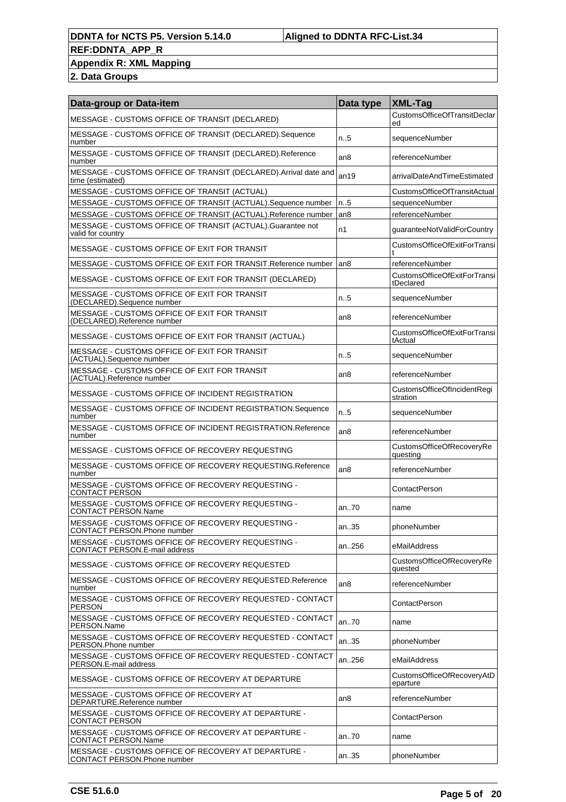#### **REF:DDNTA\_APP\_R Appendix R: XML Mapping**

| Data-group or Data-item                                                              | Data type       | <b>XML-Tag</b>                            |
|--------------------------------------------------------------------------------------|-----------------|-------------------------------------------|
| MESSAGE - CUSTOMS OFFICE OF TRANSIT (DECLARED)                                       |                 | CustomsOfficeOfTransitDeclar<br>ed        |
| MESSAGE - CUSTOMS OFFICE OF TRANSIT (DECLARED).Sequence<br>number                    | n.5             | sequenceNumber                            |
| MESSAGE - CUSTOMS OFFICE OF TRANSIT (DECLARED).Reference<br>number                   | an8             | referenceNumber                           |
| MESSAGE - CUSTOMS OFFICE OF TRANSIT (DECLARED). Arrival date and<br>time (estimated) | an19            | arrivalDateAndTimeEstimated               |
| MESSAGE - CUSTOMS OFFICE OF TRANSIT (ACTUAL)                                         |                 | CustomsOfficeOfTransitActual              |
| MESSAGE - CUSTOMS OFFICE OF TRANSIT (ACTUAL). Sequence number                        | n.5             | sequenceNumber                            |
| MESSAGE - CUSTOMS OFFICE OF TRANSIT (ACTUAL). Reference number                       | an <sub>8</sub> | referenceNumber                           |
| MESSAGE - CUSTOMS OFFICE OF TRANSIT (ACTUAL). Guarantee not<br>valid for country     | n1              | guaranteeNotValidForCountry               |
| MESSAGE - CUSTOMS OFFICE OF EXIT FOR TRANSIT                                         |                 | CustomsOfficeOfExitForTransi              |
| MESSAGE - CUSTOMS OFFICE OF EXIT FOR TRANSIT. Reference number and                   |                 | referenceNumber                           |
| MESSAGE - CUSTOMS OFFICE OF EXIT FOR TRANSIT (DECLARED)                              |                 | CustomsOfficeOfExitForTransi<br>tDeclared |
| MESSAGE - CUSTOMS OFFICE OF EXIT FOR TRANSIT<br>(DECLARED).Sequence number           | n.5             | sequenceNumber                            |
| MESSAGE - CUSTOMS OFFICE OF EXIT FOR TRANSIT<br>(DECLARED).Reference number          | an8             | referenceNumber                           |
| MESSAGE - CUSTOMS OFFICE OF EXIT FOR TRANSIT (ACTUAL)                                |                 | CustomsOfficeOfExitForTransi<br>tActual   |
| MESSAGE - CUSTOMS OFFICE OF EXIT FOR TRANSIT<br>(ACTUAL).Sequence number             | n.5             | sequenceNumber                            |
| MESSAGE - CUSTOMS OFFICE OF EXIT FOR TRANSIT<br>(ACTUAL).Reference number            | an8             | referenceNumber                           |
| MESSAGE - CUSTOMS OFFICE OF INCIDENT REGISTRATION                                    |                 | CustomsOfficeOfIncidentRegi<br>stration   |
| MESSAGE - CUSTOMS OFFICE OF INCIDENT REGISTRATION.Sequence<br>number                 | n.5             | sequenceNumber                            |
| MESSAGE - CUSTOMS OFFICE OF INCIDENT REGISTRATION.Reference<br>number                | an8             | referenceNumber                           |
| MESSAGE - CUSTOMS OFFICE OF RECOVERY REQUESTING                                      |                 | CustomsOfficeOfRecoveryRe<br>questing     |
| MESSAGE - CUSTOMS OFFICE OF RECOVERY REQUESTING.Reference<br>number                  | an <sub>8</sub> | referenceNumber                           |
| MESSAGE - CUSTOMS OFFICE OF RECOVERY REQUESTING -<br>CONTACT PERSON                  |                 | ContactPerson                             |
| MESSAGE - CUSTOMS OFFICE OF RECOVERY REQUESTING -<br>CONTACT PERSON.Name             | an70            | name                                      |
| MESSAGE - CUSTOMS OFFICE OF RECOVERY REQUESTING -<br>CONTACT PERSON.Phone number     | an35            | phoneNumber                               |
| MESSAGE - CUSTOMS OFFICE OF RECOVERY REQUESTING -<br>CONTACT PERSON.E-mail address   | an256           | eMailAddress                              |
| MESSAGE - CUSTOMS OFFICE OF RECOVERY REQUESTED                                       |                 | CustomsOfficeOfRecoveryRe<br>quested      |
| MESSAGE - CUSTOMS OFFICE OF RECOVERY REQUESTED.Reference<br>number                   | an <sub>8</sub> | referenceNumber                           |
| MESSAGE - CUSTOMS OFFICE OF RECOVERY REQUESTED - CONTACT<br><b>PERSON</b>            |                 | ContactPerson                             |
| MESSAGE - CUSTOMS OFFICE OF RECOVERY REQUESTED - CONTACT<br>PERSON.Name              | an70            | name                                      |
| MESSAGE - CUSTOMS OFFICE OF RECOVERY REQUESTED - CONTACT<br>PERSON.Phone number      | an35            | phoneNumber                               |
| MESSAGE - CUSTOMS OFFICE OF RECOVERY REQUESTED - CONTACT<br>PERSON.E-mail address    | an256           | eMailAddress                              |
| MESSAGE - CUSTOMS OFFICE OF RECOVERY AT DEPARTURE                                    |                 | CustomsOfficeOfRecoveryAtD<br>eparture    |
| MESSAGE - CUSTOMS OFFICE OF RECOVERY AT<br>DEPARTURE.Reference number                | an8             | referenceNumber                           |
| MESSAGE - CUSTOMS OFFICE OF RECOVERY AT DEPARTURE -<br><b>CONTACT PERSON</b>         |                 | ContactPerson                             |
| MESSAGE - CUSTOMS OFFICE OF RECOVERY AT DEPARTURE -<br><b>CONTACT PERSON.Name</b>    | an70            | name                                      |
| MESSAGE - CUSTOMS OFFICE OF RECOVERY AT DEPARTURE -<br>CONTACT PERSON. Phone number  | an35            | phoneNumber                               |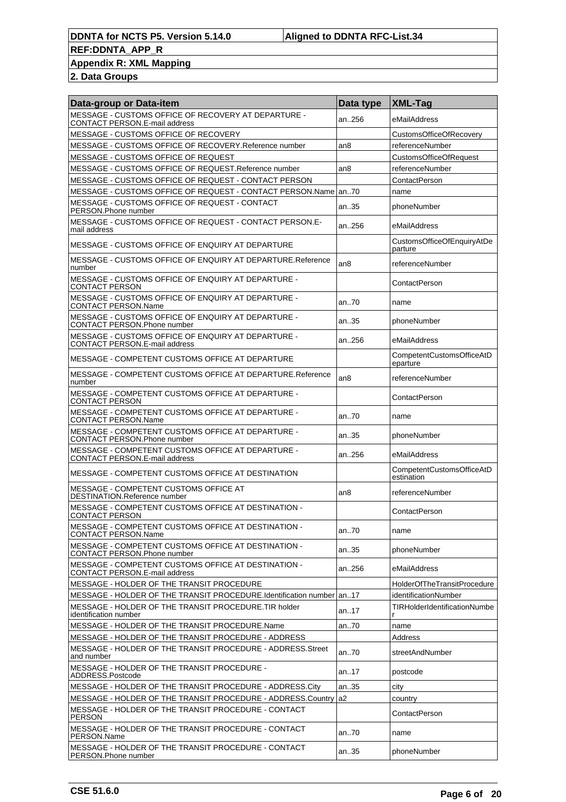### **Appendix R: XML Mapping**

| Data-group or Data-item                                                                    | Data type       | XML-Tag                                 |
|--------------------------------------------------------------------------------------------|-----------------|-----------------------------------------|
| MESSAGE - CUSTOMS OFFICE OF RECOVERY AT DEPARTURE -<br>CONTACT PERSON.E-mail address       | an256           | eMailAddress                            |
| MESSAGE - CUSTOMS OFFICE OF RECOVERY                                                       |                 | CustomsOfficeOfRecovery                 |
| MESSAGE - CUSTOMS OFFICE OF RECOVERY.Reference number                                      | an <sub>8</sub> | referenceNumber                         |
| MESSAGE - CUSTOMS OFFICE OF REQUEST                                                        |                 | CustomsOfficeOfRequest                  |
| MESSAGE - CUSTOMS OFFICE OF REQUEST.Reference number                                       | an <sub>8</sub> | referenceNumber                         |
| MESSAGE - CUSTOMS OFFICE OF REQUEST - CONTACT PERSON                                       |                 | ContactPerson                           |
| MESSAGE - CUSTOMS OFFICE OF REQUEST - CONTACT PERSON.Name   an70                           |                 | name                                    |
| MESSAGE - CUSTOMS OFFICE OF REQUEST - CONTACT<br>PERSON.Phone number                       | an.35           | phoneNumber                             |
| MESSAGE - CUSTOMS OFFICE OF REQUEST - CONTACT PERSON.E-<br>mail address                    | an256           | eMailAddress                            |
| MESSAGE - CUSTOMS OFFICE OF ENQUIRY AT DEPARTURE                                           |                 | CustomsOfficeOfEnquiryAtDe<br>parture   |
| MESSAGE - CUSTOMS OFFICE OF ENQUIRY AT DEPARTURE.Reference<br>number                       | an <sub>8</sub> | referenceNumber                         |
| MESSAGE - CUSTOMS OFFICE OF ENQUIRY AT DEPARTURE -<br><b>CONTACT PERSON</b>                |                 | ContactPerson                           |
| MESSAGE - CUSTOMS OFFICE OF ENQUIRY AT DEPARTURE -<br><b>CONTACT PERSON.Name</b>           | an70            | name                                    |
| MESSAGE - CUSTOMS OFFICE OF ENQUIRY AT DEPARTURE -<br>CONTACT PERSON.Phone number          | an35            | phoneNumber                             |
| MESSAGE - CUSTOMS OFFICE OF ENQUIRY AT DEPARTURE -<br><b>CONTACT PERSON.E-mail address</b> | an256           | eMailAddress                            |
| MESSAGE - COMPETENT CUSTOMS OFFICE AT DEPARTURE                                            |                 | CompetentCustomsOfficeAtD<br>eparture   |
| MESSAGE - COMPETENT CUSTOMS OFFICE AT DEPARTURE.Reference<br>number                        | an <sub>8</sub> | referenceNumber                         |
| MESSAGE - COMPETENT CUSTOMS OFFICE AT DEPARTURE -<br><b>CONTACT PERSON</b>                 |                 | ContactPerson                           |
| MESSAGE - COMPETENT CUSTOMS OFFICE AT DEPARTURE -<br><b>CONTACT PERSON.Name</b>            | an70            | name                                    |
| MESSAGE - COMPETENT CUSTOMS OFFICE AT DEPARTURE -<br><b>CONTACT PERSON.Phone number</b>    | an35            | phoneNumber                             |
| MESSAGE - COMPETENT CUSTOMS OFFICE AT DEPARTURE -<br>CONTACT PERSON.E-mail address         | an256           | eMailAddress                            |
| MESSAGE - COMPETENT CUSTOMS OFFICE AT DESTINATION                                          |                 | CompetentCustomsOfficeAtD<br>estination |
| MESSAGE - COMPETENT CUSTOMS OFFICE AT<br>DESTINATION.Reference number                      | an8             | referenceNumber                         |
| MESSAGE - COMPETENT CUSTOMS OFFICE AT DESTINATION -<br><b>CONTACT PERSON</b>               |                 | ContactPerson                           |
| MESSAGE - COMPETENT CUSTOMS OFFICE AT DESTINATION -<br>CONTACT PERSON.Name                 | an70            | name                                    |
| MESSAGE - COMPETENT CUSTOMS OFFICE AT DESTINATION -<br><b>CONTACT PERSON.Phone number</b>  | an35            | phoneNumber                             |
| MESSAGE - COMPETENT CUSTOMS OFFICE AT DESTINATION -<br>CONTACT PERSON.E-mail address       | an256           | eMailAddress                            |
| MESSAGE - HOLDER OF THE TRANSIT PROCEDURE                                                  |                 | HolderOfTheTransitProcedure             |
| MESSAGE - HOLDER OF THE TRANSIT PROCEDURE.Identification number an17                       |                 | identificationNumber                    |
| MESSAGE - HOLDER OF THE TRANSIT PROCEDURE.TIR holder<br>identification number              | an17            | TIRHolderIdentificationNumbe            |
| MESSAGE - HOLDER OF THE TRANSIT PROCEDURE.Name                                             | an70            | name                                    |
| MESSAGE - HOLDER OF THE TRANSIT PROCEDURE - ADDRESS                                        |                 | Address                                 |
| MESSAGE - HOLDER OF THE TRANSIT PROCEDURE - ADDRESS. Street<br>and number                  | an.70           | streetAndNumber                         |
| MESSAGE - HOLDER OF THE TRANSIT PROCEDURE -<br>ADDRESS.Postcode                            | an17            | postcode                                |
| MESSAGE - HOLDER OF THE TRANSIT PROCEDURE - ADDRESS.City                                   | an35            | city                                    |
| MESSAGE - HOLDER OF THE TRANSIT PROCEDURE - ADDRESS.Country                                | la2             | country                                 |
| MESSAGE - HOLDER OF THE TRANSIT PROCEDURE - CONTACT<br><b>PERSON</b>                       |                 | ContactPerson                           |
| MESSAGE - HOLDER OF THE TRANSIT PROCEDURE - CONTACT<br>PERSON.Name                         | an70            | name                                    |
| MESSAGE - HOLDER OF THE TRANSIT PROCEDURE - CONTACT<br>PERSON.Phone number                 | an35            | phoneNumber                             |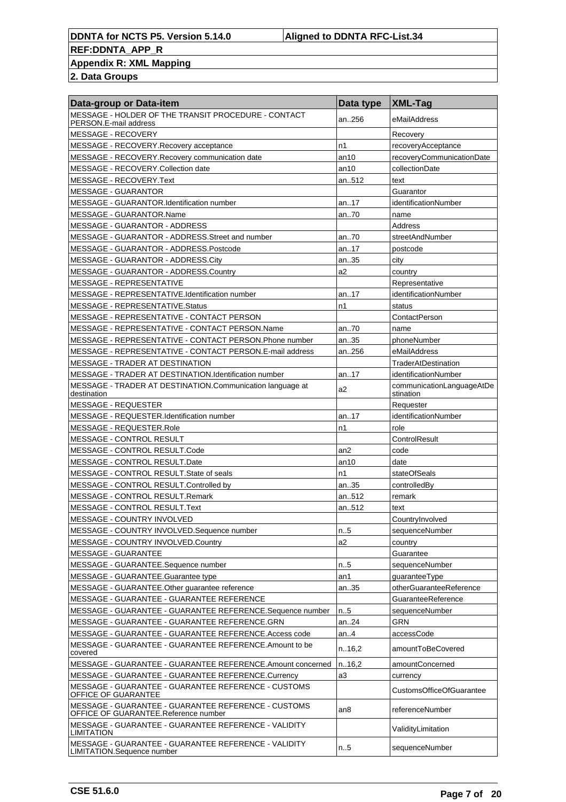## **Appendix R: XML Mapping**

| Data-group or Data-item                                                                     | Data type | <b>XML-Tag</b>                         |
|---------------------------------------------------------------------------------------------|-----------|----------------------------------------|
| MESSAGE - HOLDER OF THE TRANSIT PROCEDURE - CONTACT<br>PERSON.E-mail address                | an256     | eMailAddress                           |
| MESSAGE - RECOVERY                                                                          |           | Recovery                               |
| MESSAGE - RECOVERY.Recovery acceptance                                                      | n1        | recoveryAcceptance                     |
| MESSAGE - RECOVERY.Recovery communication date                                              | an10      | recoveryCommunicationDate              |
| MESSAGE - RECOVERY.Collection date                                                          | an10      | collectionDate                         |
| MESSAGE - RECOVERY.Text                                                                     | an512     | text                                   |
| <b>MESSAGE - GUARANTOR</b>                                                                  |           | Guarantor                              |
| MESSAGE - GUARANTOR.Identification number                                                   | an17      | identificationNumber                   |
| MESSAGE - GUARANTOR.Name                                                                    | an70      | name                                   |
| MESSAGE - GUARANTOR - ADDRESS                                                               |           | Address                                |
| MESSAGE - GUARANTOR - ADDRESS. Street and number                                            | an70      | streetAndNumber                        |
| MESSAGE - GUARANTOR - ADDRESS.Postcode                                                      | an17      | postcode                               |
| MESSAGE - GUARANTOR - ADDRESS.City                                                          | an35      | city                                   |
| MESSAGE - GUARANTOR - ADDRESS.Country                                                       | a2        | country                                |
| MESSAGE - REPRESENTATIVE                                                                    |           | Representative                         |
| MESSAGE - REPRESENTATIVE.Identification number                                              | an17      | identificationNumber                   |
| MESSAGE - REPRESENTATIVE.Status                                                             | n1        | status                                 |
| MESSAGE - REPRESENTATIVE - CONTACT PERSON                                                   |           | ContactPerson                          |
| MESSAGE - REPRESENTATIVE - CONTACT PERSON.Name                                              | an70      | name                                   |
| MESSAGE - REPRESENTATIVE - CONTACT PERSON. Phone number                                     | an35      | phoneNumber                            |
| MESSAGE - REPRESENTATIVE - CONTACT PERSON.E-mail address                                    | an256     | eMailAddress                           |
| <b>MESSAGE - TRADER AT DESTINATION</b>                                                      |           | <b>TraderAtDestination</b>             |
| MESSAGE - TRADER AT DESTINATION.Identification number                                       | an17      | identificationNumber                   |
| MESSAGE - TRADER AT DESTINATION.Communication language at<br>destination                    | a2        | communicationLanguageAtDe<br>stination |
| MESSAGE - REQUESTER                                                                         |           | Requester                              |
| MESSAGE - REQUESTER.Identification number                                                   | an17      | identificationNumber                   |
| MESSAGE - REQUESTER.Role                                                                    | n1        | role                                   |
| <b>MESSAGE - CONTROL RESULT</b>                                                             |           | ControlResult                          |
| MESSAGE - CONTROL RESULT.Code                                                               | an2       | code                                   |
| MESSAGE - CONTROL RESULT.Date                                                               | an10      | date                                   |
| MESSAGE - CONTROL RESULT. State of seals                                                    | n1        | stateOfSeals                           |
| MESSAGE - CONTROL RESULT.Controlled by                                                      | an35      | controlledBy                           |
| MESSAGE - CONTROL RESULT.Remark                                                             | an512     | remark                                 |
| MESSAGE - CONTROL RESULT. Text                                                              | an512     | text                                   |
| MESSAGE - COUNTRY INVOLVED                                                                  |           | CountryInvolved                        |
| MESSAGE - COUNTRY INVOLVED.Sequence number                                                  | $n_{.}.5$ | sequenceNumber                         |
| MESSAGE - COUNTRY INVOLVED.Country                                                          | a2        | country                                |
| <b>MESSAGE - GUARANTEE</b>                                                                  |           | Guarantee                              |
| MESSAGE - GUARANTEE.Sequence number                                                         | n.5       | sequenceNumber                         |
| MESSAGE - GUARANTEE.Guarantee type                                                          | an1       | guaranteeType                          |
| MESSAGE - GUARANTEE.Other guarantee reference                                               | an35      | otherGuaranteeReference                |
| MESSAGE - GUARANTEE - GUARANTEE REFERENCE                                                   |           | GuaranteeReference                     |
| MESSAGE - GUARANTEE - GUARANTEE REFERENCE.Sequence number                                   | n.5       | sequenceNumber                         |
| MESSAGE - GUARANTEE - GUARANTEE REFERENCE.GRN                                               | an.24     | GRN                                    |
| MESSAGE - GUARANTEE - GUARANTEE REFERENCE.Access code                                       | an4       | accessCode                             |
| MESSAGE - GUARANTEE - GUARANTEE REFERENCE.Amount to be<br>covered                           | n.16,2    | amountToBeCovered                      |
| MESSAGE - GUARANTEE - GUARANTEE REFERENCE.Amount concerned                                  | n.16,2    | amountConcerned                        |
| MESSAGE - GUARANTEE - GUARANTEE REFERENCE.Currency                                          | a3        | currency                               |
| MESSAGE - GUARANTEE - GUARANTEE REFERENCE - CUSTOMS<br>OFFICE OF GUARANTEE                  |           | <b>CustomsOfficeOfGuarantee</b>        |
| MESSAGE - GUARANTEE - GUARANTEE REFERENCE - CUSTOMS<br>OFFICE OF GUARANTEE.Reference number | an8       | referenceNumber                        |
| MESSAGE - GUARANTEE - GUARANTEE REFERENCE - VALIDITY<br><b>LIMITATION</b>                   |           | ValidityLimitation                     |
| MESSAGE - GUARANTEE - GUARANTEE REFERENCE - VALIDITY<br>LIMITATION.Sequence number          | n.5       | sequenceNumber                         |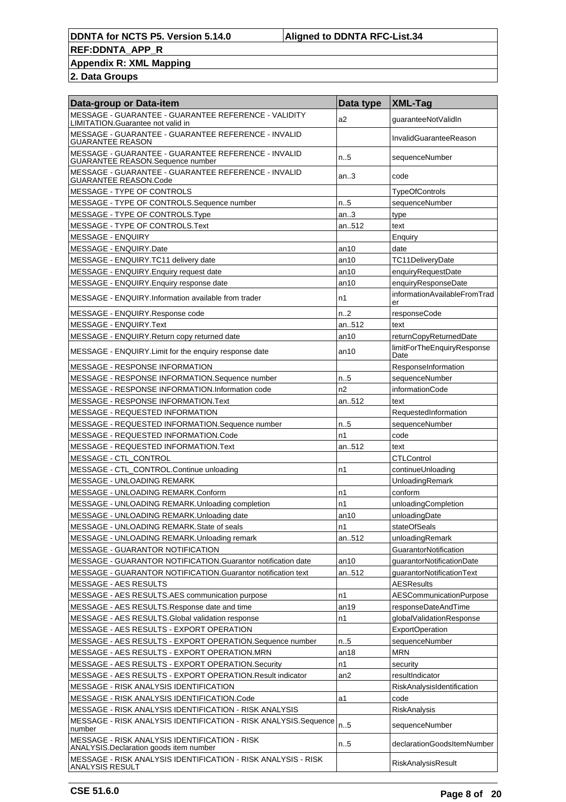### **Appendix R: XML Mapping**

| Data-group or Data-item                                                                   | Data type        | XML-Tag                            |
|-------------------------------------------------------------------------------------------|------------------|------------------------------------|
| MESSAGE - GUARANTEE - GUARANTEE REFERENCE - VALIDITY<br>LIMITATION.Guarantee not valid in | a2               | guaranteeNotValidIn                |
| MESSAGE - GUARANTEE - GUARANTEE REFERENCE - INVALID<br><b>GUARANTEE REASON</b>            |                  | InvalidGuaranteeReason             |
| MESSAGE - GUARANTEE - GUARANTEE REFERENCE - INVALID<br>GUARANTEE REASON.Sequence number   | $n_{.}5$         | sequenceNumber                     |
| MESSAGE - GUARANTEE - GUARANTEE REFERENCE - INVALID<br><b>GUARANTEE REASON.Code</b>       | an.3             | code                               |
| MESSAGE - TYPE OF CONTROLS                                                                |                  | <b>TypeOfControls</b>              |
| MESSAGE - TYPE OF CONTROLS.Sequence number                                                | n.5              | sequenceNumber                     |
| MESSAGE - TYPE OF CONTROLS. Type                                                          | an.3             | type                               |
| MESSAGE - TYPE OF CONTROLS.Text                                                           | an512            | text                               |
| <b>MESSAGE - ENQUIRY</b>                                                                  |                  | Enquiry                            |
| MESSAGE - ENQUIRY.Date                                                                    | an10             | date                               |
| MESSAGE - ENQUIRY.TC11 delivery date                                                      | an10             | TC11DeliveryDate                   |
| MESSAGE - ENQUIRY. Enquiry request date                                                   | an10             | enquiryRequestDate                 |
| MESSAGE - ENQUIRY. Enquiry response date                                                  | an10             | enquiryResponseDate                |
| MESSAGE - ENQUIRY.Information available from trader                                       | n1               | informationAvailableFromTrad<br>er |
| MESSAGE - ENQUIRY.Response code                                                           | n <sub>1</sub> 2 | responseCode                       |
| MESSAGE - ENQUIRY.Text                                                                    | an512            | text                               |
| MESSAGE - ENQUIRY.Return copy returned date                                               | an10             | returnCopyReturnedDate             |
| MESSAGE - ENQUIRY. Limit for the enquiry response date                                    | an10             | limitForTheEnquiryResponse<br>Date |
| <b>MESSAGE - RESPONSE INFORMATION</b>                                                     |                  | ResponseInformation                |
| MESSAGE - RESPONSE INFORMATION.Sequence number                                            | n.5              | sequenceNumber                     |
| MESSAGE - RESPONSE INFORMATION.Information code                                           | n2               | informationCode                    |
| MESSAGE - RESPONSE INFORMATION.Text                                                       | an512            | text                               |
| MESSAGE - REQUESTED INFORMATION                                                           |                  | RequestedInformation               |
| MESSAGE - REQUESTED INFORMATION.Sequence number                                           | n.5              | sequenceNumber                     |
| MESSAGE - REQUESTED INFORMATION.Code                                                      | n1               | code                               |
| MESSAGE - REQUESTED INFORMATION.Text                                                      | an512            | text                               |
| MESSAGE - CTL_CONTROL                                                                     |                  | <b>CTLControl</b>                  |
| MESSAGE - CTL_CONTROL.Continue unloading                                                  | n1               | continueUnloading                  |
| MESSAGE - UNLOADING REMARK                                                                |                  | UnloadingRemark                    |
| MESSAGE - UNLOADING REMARK.Conform                                                        | n1               | conform                            |
| MESSAGE - UNLOADING REMARK.Unloading completion                                           | n1               | unloadingCompletion                |
| MESSAGE - UNLOADING REMARK.Unloading date                                                 | an10             | unloadingDate                      |
| MESSAGE - UNLOADING REMARK.State of seals                                                 | n1               | stateOfSeals                       |
| MESSAGE - UNLOADING REMARK.Unloading remark                                               | an512            | unloadingRemark                    |
| <b>MESSAGE - GUARANTOR NOTIFICATION</b>                                                   |                  | <b>GuarantorNotification</b>       |
| MESSAGE - GUARANTOR NOTIFICATION.Guarantor notification date                              | an10             | guarantorNotificationDate          |
| MESSAGE - GUARANTOR NOTIFICATION.Guarantor notification text                              | an512            | quarantorNotificationText          |
| MESSAGE - AES RESULTS                                                                     |                  | <b>AESResults</b>                  |
| MESSAGE - AES RESULTS.AES communication purpose                                           | n1               | <b>AESCommunicationPurpose</b>     |
| MESSAGE - AES RESULTS.Response date and time                                              | an19             | responseDateAndTime                |
| MESSAGE - AES RESULTS.Global validation response                                          | n1               | qlobalValidationResponse           |
| MESSAGE - AES RESULTS - EXPORT OPERATION                                                  |                  | <b>ExportOperation</b>             |
| MESSAGE - AES RESULTS - EXPORT OPERATION.Sequence number                                  | n.5              | sequenceNumber                     |
| MESSAGE - AES RESULTS - EXPORT OPERATION.MRN                                              | an18             | <b>MRN</b>                         |
| MESSAGE - AES RESULTS - EXPORT OPERATION.Security                                         | n1               | security                           |
| MESSAGE - AES RESULTS - EXPORT OPERATION.Result indicator                                 | an2              | resultIndicator                    |
| MESSAGE - RISK ANALYSIS IDENTIFICATION                                                    |                  | RiskAnalysisIdentification         |
| MESSAGE - RISK ANALYSIS IDENTIFICATION.Code                                               | a1               | code                               |
|                                                                                           |                  |                                    |
| MESSAGE - RISK ANALYSIS IDENTIFICATION - RISK ANALYSIS                                    |                  | RiskAnalysis                       |
| MESSAGE - RISK ANALYSIS IDENTIFICATION - RISK ANALYSIS.Sequence<br>number                 | n.5              | sequenceNumber                     |
| MESSAGE - RISK ANALYSIS IDENTIFICATION - RISK<br>ANALYSIS. Declaration goods item number  | n.5              | declarationGoodsItemNumber         |
| MESSAGE - RISK ANALYSIS IDENTIFICATION - RISK ANALYSIS - RISK<br>ANALYSIS RESULT          |                  | RiskAnalysisResult                 |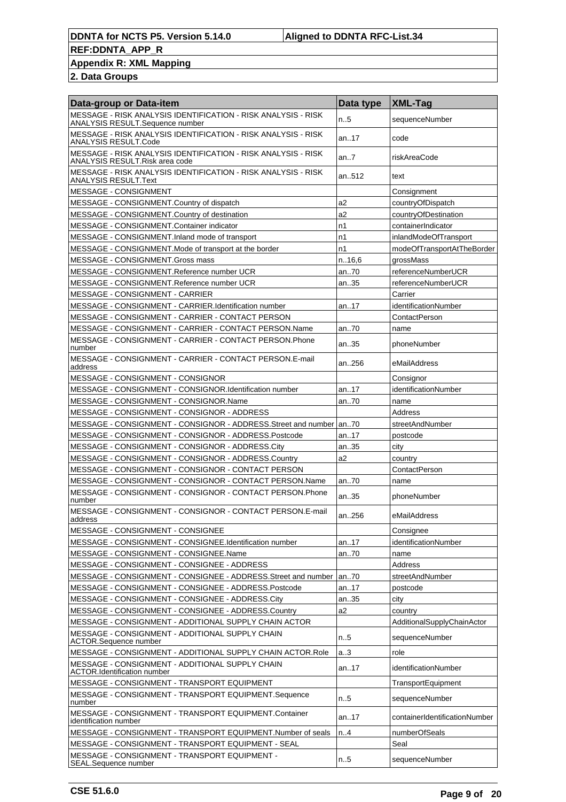### **Appendix R: XML Mapping**

| Data-group or Data-item                                                                          | Data type | <b>XML-Tag</b>                |
|--------------------------------------------------------------------------------------------------|-----------|-------------------------------|
| MESSAGE - RISK ANALYSIS IDENTIFICATION - RISK ANALYSIS - RISK<br>ANALYSIS RESULT.Sequence number | n.5       | sequenceNumber                |
| MESSAGE - RISK ANALYSIS IDENTIFICATION - RISK ANALYSIS - RISK<br>ANALYSIS RESULT.Code            | an17      | code                          |
| MESSAGE - RISK ANALYSIS IDENTIFICATION - RISK ANALYSIS - RISK<br>ANALYSIS RESULT.Risk area code  | an.7      | riskAreaCode                  |
| MESSAGE - RISK ANALYSIS IDENTIFICATION - RISK ANALYSIS - RISK<br>ANALYSIS RESULT.Text            | an512     | text                          |
| <b>MESSAGE - CONSIGNMENT</b>                                                                     |           | Consignment                   |
| MESSAGE - CONSIGNMENT.Country of dispatch                                                        | a2        | countryOfDispatch             |
| MESSAGE - CONSIGNMENT.Country of destination                                                     | a2        | countryOfDestination          |
| MESSAGE - CONSIGNMENT.Container indicator                                                        | n1        | containerIndicator            |
| MESSAGE - CONSIGNMENT.Inland mode of transport                                                   | n1        | inlandModeOfTransport         |
| MESSAGE - CONSIGNMENT. Mode of transport at the border                                           | n1        | modeOfTransportAtTheBorder    |
| MESSAGE - CONSIGNMENT.Gross mass                                                                 | n.16,6    | grossMass                     |
| MESSAGE - CONSIGNMENT.Reference number UCR                                                       | an70      | referenceNumberUCR            |
| MESSAGE - CONSIGNMENT.Reference number UCR                                                       | an35      | referenceNumberUCR            |
| <b>MESSAGE - CONSIGNMENT - CARRIER</b>                                                           |           | Carrier                       |
| MESSAGE - CONSIGNMENT - CARRIER.Identification number                                            | an17      | identificationNumber          |
| MESSAGE - CONSIGNMENT - CARRIER - CONTACT PERSON                                                 |           | ContactPerson                 |
| MESSAGE - CONSIGNMENT - CARRIER - CONTACT PERSON.Name                                            | an70      | name                          |
| MESSAGE - CONSIGNMENT - CARRIER - CONTACT PERSON.Phone<br>number                                 | an.35     | phoneNumber                   |
| MESSAGE - CONSIGNMENT - CARRIER - CONTACT PERSON.E-mail<br>address                               | an256     | eMailAddress                  |
| MESSAGE - CONSIGNMENT - CONSIGNOR                                                                |           | Consignor                     |
| MESSAGE - CONSIGNMENT - CONSIGNOR.Identification number                                          | an17      | identificationNumber          |
| MESSAGE - CONSIGNMENT - CONSIGNOR.Name                                                           | an70      | name                          |
| MESSAGE - CONSIGNMENT - CONSIGNOR - ADDRESS                                                      |           | Address                       |
| MESSAGE - CONSIGNMENT - CONSIGNOR - ADDRESS. Street and number   an70                            |           | streetAndNumber               |
| MESSAGE - CONSIGNMENT - CONSIGNOR - ADDRESS.Postcode                                             | an17      | postcode                      |
| MESSAGE - CONSIGNMENT - CONSIGNOR - ADDRESS.City                                                 | an35      | city                          |
| MESSAGE - CONSIGNMENT - CONSIGNOR - ADDRESS.Country                                              | a2        | country                       |
| MESSAGE - CONSIGNMENT - CONSIGNOR - CONTACT PERSON                                               |           | ContactPerson                 |
| MESSAGE - CONSIGNMENT - CONSIGNOR - CONTACT PERSON.Name                                          | an70      | name                          |
| MESSAGE - CONSIGNMENT - CONSIGNOR - CONTACT PERSON.Phone<br>number                               | an35      | phoneNumber                   |
| MESSAGE - CONSIGNMENT - CONSIGNOR - CONTACT PERSON.E-mail<br>address                             | an256     | eMailAddress                  |
| MESSAGE - CONSIGNMENT - CONSIGNEE                                                                |           | Consignee                     |
| MESSAGE - CONSIGNMENT - CONSIGNEE.Identification number                                          | an17      | identificationNumber          |
| MESSAGE - CONSIGNMENT - CONSIGNEE.Name                                                           | an70      | name                          |
| MESSAGE - CONSIGNMENT - CONSIGNEE - ADDRESS                                                      |           | Address                       |
| MESSAGE - CONSIGNMENT - CONSIGNEE - ADDRESS.Street and number                                    | an70      | streetAndNumber               |
| MESSAGE - CONSIGNMENT - CONSIGNEE - ADDRESS.Postcode                                             | an17      | postcode                      |
| MESSAGE - CONSIGNMENT - CONSIGNEE - ADDRESS.City                                                 | an35      | city                          |
| MESSAGE - CONSIGNMENT - CONSIGNEE - ADDRESS.Country                                              | a2        | country                       |
| MESSAGE - CONSIGNMENT - ADDITIONAL SUPPLY CHAIN ACTOR                                            |           | AdditionalSupplyChainActor    |
| MESSAGE - CONSIGNMENT - ADDITIONAL SUPPLY CHAIN<br>ACTOR.Sequence number                         | n.5       | sequenceNumber                |
| MESSAGE - CONSIGNMENT - ADDITIONAL SUPPLY CHAIN ACTOR.Role                                       | a.3       | role                          |
| MESSAGE - CONSIGNMENT - ADDITIONAL SUPPLY CHAIN<br><b>ACTOR.Identification number</b>            | an17      | identificationNumber          |
| MESSAGE - CONSIGNMENT - TRANSPORT EQUIPMENT                                                      |           | TransportEquipment            |
| MESSAGE - CONSIGNMENT - TRANSPORT EQUIPMENT.Sequence<br>number                                   | n.5       | sequenceNumber                |
| MESSAGE - CONSIGNMENT - TRANSPORT EQUIPMENT.Container<br>identification number                   | an17      | containerIdentificationNumber |
| MESSAGE - CONSIGNMENT - TRANSPORT EQUIPMENT.Number of seals                                      | n.4       | numberOfSeals                 |
| MESSAGE - CONSIGNMENT - TRANSPORT EQUIPMENT - SEAL                                               |           | Seal                          |
| MESSAGE - CONSIGNMENT - TRANSPORT EQUIPMENT -<br>SEAL.Sequence number                            | n.5       | sequenceNumber                |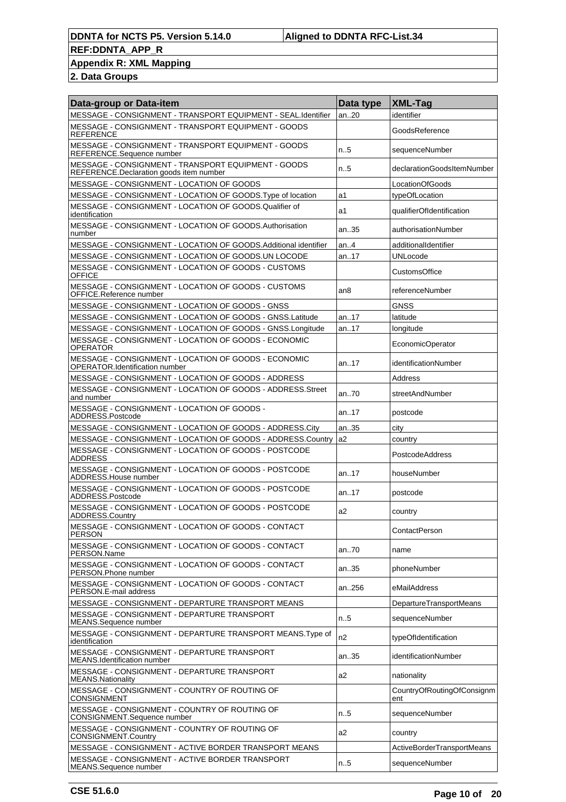## **Appendix R: XML Mapping**

| Data-group or Data-item                                                                        | Data type       | <b>XML-Tag</b>                    |
|------------------------------------------------------------------------------------------------|-----------------|-----------------------------------|
| MESSAGE - CONSIGNMENT - TRANSPORT EQUIPMENT - SEAL.Identifier                                  | an20            | identifier                        |
| MESSAGE - CONSIGNMENT - TRANSPORT EQUIPMENT - GOODS<br><b>REFERENCE</b>                        |                 | GoodsReference                    |
| MESSAGE - CONSIGNMENT - TRANSPORT EQUIPMENT - GOODS<br>REFERENCE.Sequence number               | n.5             | sequenceNumber                    |
| MESSAGE - CONSIGNMENT - TRANSPORT EQUIPMENT - GOODS<br>REFERENCE.Declaration goods item number | n.5             | declarationGoodsItemNumber        |
| MESSAGE - CONSIGNMENT - LOCATION OF GOODS                                                      |                 | LocationOfGoods                   |
| MESSAGE - CONSIGNMENT - LOCATION OF GOODS. Type of location                                    | a1              | typeOfLocation                    |
| MESSAGE - CONSIGNMENT - LOCATION OF GOODS.Qualifier of<br>identification                       | a1              | qualifierOfIdentification         |
| MESSAGE - CONSIGNMENT - LOCATION OF GOODS.Authorisation<br>number                              | an35            | authorisationNumber               |
| MESSAGE - CONSIGNMENT - LOCATION OF GOODS. Additional identifier                               | an.4            | additionalIdentifier              |
| MESSAGE - CONSIGNMENT - LOCATION OF GOODS.UN LOCODE                                            | an17            | <b>UNLocode</b>                   |
| MESSAGE - CONSIGNMENT - LOCATION OF GOODS - CUSTOMS<br><b>OFFICE</b>                           |                 | <b>CustomsOffice</b>              |
| MESSAGE - CONSIGNMENT - LOCATION OF GOODS - CUSTOMS<br>OFFICE.Reference number                 | an <sub>8</sub> | referenceNumber                   |
| MESSAGE - CONSIGNMENT - LOCATION OF GOODS - GNSS                                               |                 | <b>GNSS</b>                       |
| MESSAGE - CONSIGNMENT - LOCATION OF GOODS - GNSS.Latitude                                      | an17            | latitude                          |
| MESSAGE - CONSIGNMENT - LOCATION OF GOODS - GNSS.Longitude                                     | an17            | longitude                         |
| MESSAGE - CONSIGNMENT - LOCATION OF GOODS - ECONOMIC<br><b>OPERATOR</b>                        |                 | EconomicOperator                  |
| MESSAGE - CONSIGNMENT - LOCATION OF GOODS - ECONOMIC<br>OPERATOR.Identification number         | an. $.17$       | identificationNumber              |
| MESSAGE - CONSIGNMENT - LOCATION OF GOODS - ADDRESS                                            |                 | Address                           |
| MESSAGE - CONSIGNMENT - LOCATION OF GOODS - ADDRESS.Street<br>and number                       | an70            | streetAndNumber                   |
| MESSAGE - CONSIGNMENT - LOCATION OF GOODS -<br>ADDRESS.Postcode                                | an17            | postcode                          |
| MESSAGE - CONSIGNMENT - LOCATION OF GOODS - ADDRESS.City                                       | an35            | city                              |
| MESSAGE - CONSIGNMENT - LOCATION OF GOODS - ADDRESS.Country                                    | la2             | country                           |
| MESSAGE - CONSIGNMENT - LOCATION OF GOODS - POSTCODE<br><b>ADDRESS</b>                         |                 | PostcodeAddress                   |
| MESSAGE - CONSIGNMENT - LOCATION OF GOODS - POSTCODE<br>ADDRESS. House number                  | an. $.17$       | houseNumber                       |
| MESSAGE - CONSIGNMENT - LOCATION OF GOODS - POSTCODE<br>ADDRESS.Postcode                       | an17            | postcode                          |
| MESSAGE - CONSIGNMENT - LOCATION OF GOODS - POSTCODE<br>ADDRESS.Country                        | a2              | country                           |
| MESSAGE - CONSIGNMENT - LOCATION OF GOODS - CONTACT<br><b>PERSON</b>                           |                 | ContactPerson                     |
| MESSAGE - CONSIGNMENT - LOCATION OF GOODS - CONTACT<br>PERSON.Name                             | an70            | name                              |
| MESSAGE - CONSIGNMENT - LOCATION OF GOODS - CONTACT<br>PERSON.Phone number                     | an.35           | phoneNumber                       |
| MESSAGE - CONSIGNMENT - LOCATION OF GOODS - CONTACT<br>PERSON.E-mail address                   | an256           | eMailAddress                      |
| MESSAGE - CONSIGNMENT - DEPARTURE TRANSPORT MEANS                                              |                 | DepartureTransportMeans           |
| MESSAGE - CONSIGNMENT - DEPARTURE TRANSPORT<br>MEANS.Sequence number                           | n.5             | sequenceNumber                    |
| MESSAGE - CONSIGNMENT - DEPARTURE TRANSPORT MEANS. Type of<br>identification                   | n2              | typeOfIdentification              |
| MESSAGE - CONSIGNMENT - DEPARTURE TRANSPORT<br>MEANS.Identification number                     | an35            | identificationNumber              |
| MESSAGE - CONSIGNMENT - DEPARTURE TRANSPORT<br><b>MEANS.Nationality</b>                        | a2              | nationality                       |
| MESSAGE - CONSIGNMENT - COUNTRY OF ROUTING OF<br><b>CONSIGNMENT</b>                            |                 | CountryOfRoutingOfConsignm<br>ent |
| MESSAGE - CONSIGNMENT - COUNTRY OF ROUTING OF<br>CONSIGNMENT.Sequence number                   | n.5             | sequenceNumber                    |
| MESSAGE - CONSIGNMENT - COUNTRY OF ROUTING OF<br>CONSIGNMENT.Country                           | a2              | country                           |
| MESSAGE - CONSIGNMENT - ACTIVE BORDER TRANSPORT MEANS                                          |                 | ActiveBorderTransportMeans        |
| MESSAGE - CONSIGNMENT - ACTIVE BORDER TRANSPORT<br>MEANS.Sequence number                       | n.5             | sequenceNumber                    |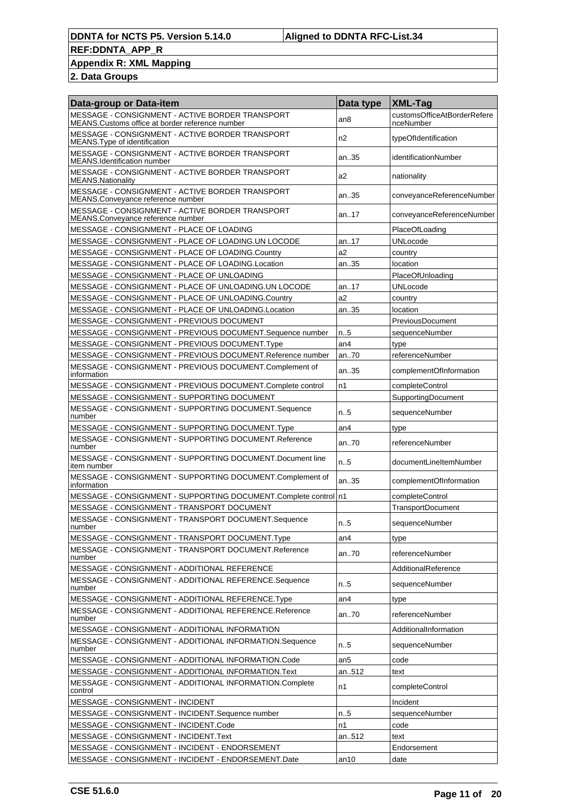### **Appendix R: XML Mapping**

| Data-group or Data-item                                                                             | Data type       | <b>XML-Tag</b>                           |
|-----------------------------------------------------------------------------------------------------|-----------------|------------------------------------------|
| MESSAGE - CONSIGNMENT - ACTIVE BORDER TRANSPORT<br>MEANS. Customs office at border reference number | an8             | customsOfficeAtBorderRefere<br>nceNumber |
| MESSAGE - CONSIGNMENT - ACTIVE BORDER TRANSPORT<br>MEANS. Type of identification                    | n2              | typeOfIdentification                     |
| MESSAGE - CONSIGNMENT - ACTIVE BORDER TRANSPORT<br><b>MEANS.Identification number</b>               | an35            | identificationNumber                     |
| MESSAGE - CONSIGNMENT - ACTIVE BORDER TRANSPORT<br><b>MEANS.Nationality</b>                         | a2              | nationality                              |
| MESSAGE - CONSIGNMENT - ACTIVE BORDER TRANSPORT<br>MEANS.Conveyance reference number                | an35            | conveyanceReferenceNumber                |
| MESSAGE - CONSIGNMENT - ACTIVE BORDER TRANSPORT<br>MEANS.Conveyance reference number                | an.17           | conveyanceReferenceNumber                |
| MESSAGE - CONSIGNMENT - PLACE OF LOADING                                                            |                 | PlaceOfLoading                           |
| MESSAGE - CONSIGNMENT - PLACE OF LOADING.UN LOCODE                                                  | an17            | <b>UNLocode</b>                          |
| MESSAGE - CONSIGNMENT - PLACE OF LOADING.Country                                                    | a2              | country                                  |
| MESSAGE - CONSIGNMENT - PLACE OF LOADING.Location                                                   | an35            | location                                 |
| MESSAGE - CONSIGNMENT - PLACE OF UNLOADING                                                          |                 | PlaceOfUnloading                         |
| MESSAGE - CONSIGNMENT - PLACE OF UNLOADING.UN LOCODE                                                | an17            | <b>UNLocode</b>                          |
| MESSAGE - CONSIGNMENT - PLACE OF UNLOADING.Country                                                  | a2              | country                                  |
| MESSAGE - CONSIGNMENT - PLACE OF UNLOADING.Location                                                 | an35            | location                                 |
| MESSAGE - CONSIGNMENT - PREVIOUS DOCUMENT                                                           |                 | <b>PreviousDocument</b>                  |
| MESSAGE - CONSIGNMENT - PREVIOUS DOCUMENT.Sequence number                                           | n.5             | sequenceNumber                           |
| MESSAGE - CONSIGNMENT - PREVIOUS DOCUMENT.Type                                                      | an4             | type                                     |
| MESSAGE - CONSIGNMENT - PREVIOUS DOCUMENT.Reference number                                          | an70            | referenceNumber                          |
| MESSAGE - CONSIGNMENT - PREVIOUS DOCUMENT.Complement of<br>information                              | an35            | complementOfInformation                  |
| MESSAGE - CONSIGNMENT - PREVIOUS DOCUMENT.Complete control                                          | n1              | completeControl                          |
| MESSAGE - CONSIGNMENT - SUPPORTING DOCUMENT                                                         |                 | SupportingDocument                       |
| MESSAGE - CONSIGNMENT - SUPPORTING DOCUMENT.Sequence<br>number                                      | $n_{.}.5$       | sequenceNumber                           |
| MESSAGE - CONSIGNMENT - SUPPORTING DOCUMENT. Type                                                   | an4             | type                                     |
| MESSAGE - CONSIGNMENT - SUPPORTING DOCUMENT.Reference<br>number                                     | an70            | referenceNumber                          |
| MESSAGE - CONSIGNMENT - SUPPORTING DOCUMENT.Document line<br>item number                            | n.5             | documentLineItemNumber                   |
| MESSAGE - CONSIGNMENT - SUPPORTING DOCUMENT.Complement of<br>information                            | an35            | complementOfInformation                  |
| MESSAGE - CONSIGNMENT - SUPPORTING DOCUMENT.Complete control   n1                                   |                 | completeControl                          |
| MESSAGE - CONSIGNMENT - TRANSPORT DOCUMENT                                                          |                 | TransportDocument                        |
| MESSAGE - CONSIGNMENT - TRANSPORT DOCUMENT.Sequence<br>number                                       | n5              | sequenceNumber                           |
| MESSAGE - CONSIGNMENT - TRANSPORT DOCUMENT.Type                                                     | an4             | type                                     |
| MESSAGE - CONSIGNMENT - TRANSPORT DOCUMENT.Reference<br>number                                      | an70            | referenceNumber                          |
| MESSAGE - CONSIGNMENT - ADDITIONAL REFERENCE                                                        |                 | AdditionalReference                      |
| MESSAGE - CONSIGNMENT - ADDITIONAL REFERENCE.Sequence<br>number                                     | n.5             | sequenceNumber                           |
| MESSAGE - CONSIGNMENT - ADDITIONAL REFERENCE.Type                                                   | an4             | type                                     |
| MESSAGE - CONSIGNMENT - ADDITIONAL REFERENCE.Reference<br>number                                    | an.70           | referenceNumber                          |
| MESSAGE - CONSIGNMENT - ADDITIONAL INFORMATION                                                      |                 | AdditionalInformation                    |
| MESSAGE - CONSIGNMENT - ADDITIONAL INFORMATION.Sequence<br>number                                   | n.5             | sequenceNumber                           |
| MESSAGE - CONSIGNMENT - ADDITIONAL INFORMATION.Code                                                 | an <sub>5</sub> | code                                     |
| MESSAGE - CONSIGNMENT - ADDITIONAL INFORMATION.Text                                                 | an512           | text                                     |
| MESSAGE - CONSIGNMENT - ADDITIONAL INFORMATION.Complete<br>control                                  | n1              | completeControl                          |
| MESSAGE - CONSIGNMENT - INCIDENT                                                                    |                 | Incident                                 |
| MESSAGE - CONSIGNMENT - INCIDENT.Sequence number                                                    | n5              | sequenceNumber                           |
| MESSAGE - CONSIGNMENT - INCIDENT.Code                                                               | n1              | code                                     |
| MESSAGE - CONSIGNMENT - INCIDENT.Text                                                               | an512           | text                                     |
| MESSAGE - CONSIGNMENT - INCIDENT - ENDORSEMENT                                                      |                 | Endorsement                              |
| MESSAGE - CONSIGNMENT - INCIDENT - ENDORSEMENT.Date                                                 | an10            | date                                     |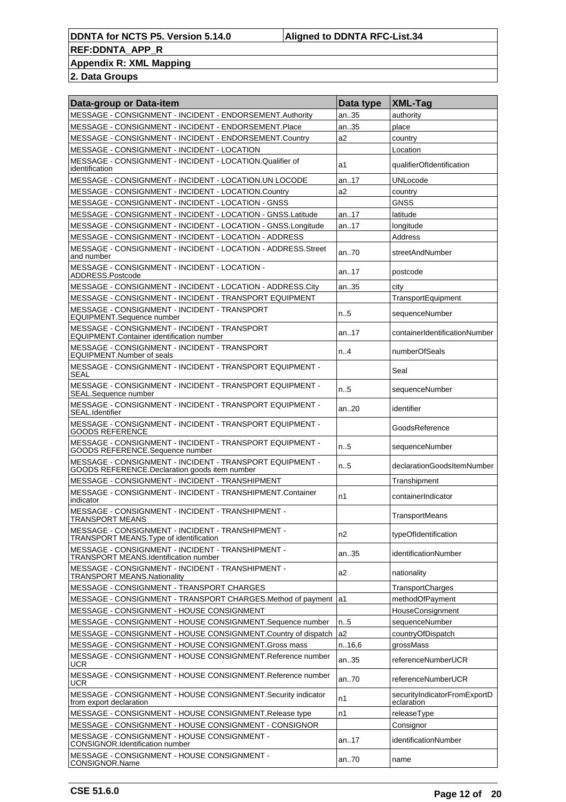## **Appendix R: XML Mapping**

| Data-group or Data-item                                                                                    | Data type      | <b>XML-Tag</b>                             |
|------------------------------------------------------------------------------------------------------------|----------------|--------------------------------------------|
| MESSAGE - CONSIGNMENT - INCIDENT - ENDORSEMENT.Authority                                                   | an35           | authority                                  |
| MESSAGE - CONSIGNMENT - INCIDENT - ENDORSEMENT.Place                                                       | an35           | place                                      |
| MESSAGE - CONSIGNMENT - INCIDENT - ENDORSEMENT.Country                                                     | a2             | country                                    |
| MESSAGE - CONSIGNMENT - INCIDENT - LOCATION                                                                |                | Location                                   |
| MESSAGE - CONSIGNMENT - INCIDENT - LOCATION.Qualifier of<br>identification                                 | a1             | qualifierOfIdentification                  |
| MESSAGE - CONSIGNMENT - INCIDENT - LOCATION.UN LOCODE                                                      | an17           | UNLocode                                   |
| MESSAGE - CONSIGNMENT - INCIDENT - LOCATION.Country                                                        | a2             | country                                    |
| MESSAGE - CONSIGNMENT - INCIDENT - LOCATION - GNSS                                                         |                | <b>GNSS</b>                                |
| MESSAGE - CONSIGNMENT - INCIDENT - LOCATION - GNSS.Latitude                                                | an. $.17$      | latitude                                   |
| MESSAGE - CONSIGNMENT - INCIDENT - LOCATION - GNSS.Longitude                                               | an17           | longitude                                  |
| MESSAGE - CONSIGNMENT - INCIDENT - LOCATION - ADDRESS                                                      |                | Address                                    |
| MESSAGE - CONSIGNMENT - INCIDENT - LOCATION - ADDRESS.Street<br>and number                                 | an70           | streetAndNumber                            |
| MESSAGE - CONSIGNMENT - INCIDENT - LOCATION -<br>ADDRESS.Postcode                                          | an.17          | postcode                                   |
| MESSAGE - CONSIGNMENT - INCIDENT - LOCATION - ADDRESS.City                                                 | an35           | city                                       |
| MESSAGE - CONSIGNMENT - INCIDENT - TRANSPORT EQUIPMENT                                                     |                | TransportEquipment                         |
| MESSAGE - CONSIGNMENT - INCIDENT - TRANSPORT<br><b>EQUIPMENT.Sequence number</b>                           | $n_{.}5$       | sequenceNumber                             |
| MESSAGE - CONSIGNMENT - INCIDENT - TRANSPORT<br><b>EQUIPMENT.Container identification number</b>           | an17           | containerIdentificationNumber              |
| MESSAGE - CONSIGNMENT - INCIDENT - TRANSPORT<br>EQUIPMENT.Number of seals                                  | n.A            | numberOfSeals                              |
| MESSAGE - CONSIGNMENT - INCIDENT - TRANSPORT EQUIPMENT -<br><b>SEAL</b>                                    |                | Seal                                       |
| MESSAGE - CONSIGNMENT - INCIDENT - TRANSPORT EQUIPMENT -<br>SEAL.Sequence number                           | $n_{.}5$       | sequenceNumber                             |
| MESSAGE - CONSIGNMENT - INCIDENT - TRANSPORT EQUIPMENT -<br>SEAL.Identifier                                | an.20          | identifier                                 |
| MESSAGE - CONSIGNMENT - INCIDENT - TRANSPORT EQUIPMENT -<br><b>GOODS REFERENCE</b>                         |                | GoodsReference                             |
| MESSAGE - CONSIGNMENT - INCIDENT - TRANSPORT EQUIPMENT -<br>GOODS REFERENCE.Sequence number                | $n_{.}5$       | sequenceNumber                             |
| MESSAGE - CONSIGNMENT - INCIDENT - TRANSPORT EQUIPMENT -<br>GOODS REFERENCE. Declaration goods item number | n.5            | declarationGoodsItemNumber                 |
| MESSAGE - CONSIGNMENT - INCIDENT - TRANSHIPMENT                                                            |                | Transhipment                               |
| MESSAGE - CONSIGNMENT - INCIDENT - TRANSHIPMENT.Container<br>indicator                                     | n1             | containerIndicator                         |
| MESSAGE - CONSIGNMENT - INCIDENT - TRANSHIPMENT -<br><b>TRANSPORT MEANS</b>                                |                | TransportMeans                             |
| MESSAGE - CONSIGNMENT - INCIDENT - TRANSHIPMENT -<br>TRANSPORT MEANS. Type of identification               | n2             | typeOfIdentification                       |
| MESSAGE - CONSIGNMENT - INCIDENT - TRANSHIPMENT -<br>TRANSPORT MEANS.Identification number                 | an35           | identificationNumber                       |
| MESSAGE - CONSIGNMENT - INCIDENT - TRANSHIPMENT -<br><b>TRANSPORT MEANS.Nationality</b>                    | a2             | nationality                                |
| MESSAGE - CONSIGNMENT - TRANSPORT CHARGES                                                                  |                | TransportCharges                           |
| MESSAGE - CONSIGNMENT - TRANSPORT CHARGES.Method of payment                                                | la1            | methodOfPayment                            |
| MESSAGE - CONSIGNMENT - HOUSE CONSIGNMENT                                                                  |                | HouseConsignment                           |
| MESSAGE - CONSIGNMENT - HOUSE CONSIGNMENT.Sequence number                                                  | n.5            | sequenceNumber                             |
| MESSAGE - CONSIGNMENT - HOUSE CONSIGNMENT.Country of dispatch                                              | a <sub>2</sub> | countryOfDispatch                          |
| MESSAGE - CONSIGNMENT - HOUSE CONSIGNMENT.Gross mass                                                       | n.16,6         | grossMass                                  |
| MESSAGE - CONSIGNMENT - HOUSE CONSIGNMENT.Reference number<br><b>UCR</b>                                   | an35           | referenceNumberUCR                         |
| MESSAGE - CONSIGNMENT - HOUSE CONSIGNMENT.Reference number<br><b>UCR</b>                                   | an70           | referenceNumberUCR                         |
| MESSAGE - CONSIGNMENT - HOUSE CONSIGNMENT.Security indicator<br>from export declaration                    | n1             | securityIndicatorFromExportD<br>eclaration |
| MESSAGE - CONSIGNMENT - HOUSE CONSIGNMENT.Release type                                                     | n1             | releaseType                                |
| MESSAGE - CONSIGNMENT - HOUSE CONSIGNMENT - CONSIGNOR                                                      |                | Consignor                                  |
| MESSAGE - CONSIGNMENT - HOUSE CONSIGNMENT -<br><b>CONSIGNOR.Identification number</b>                      | an17           | identificationNumber                       |
| MESSAGE - CONSIGNMENT - HOUSE CONSIGNMENT -<br>CONSIGNOR.Name                                              | an70           | name                                       |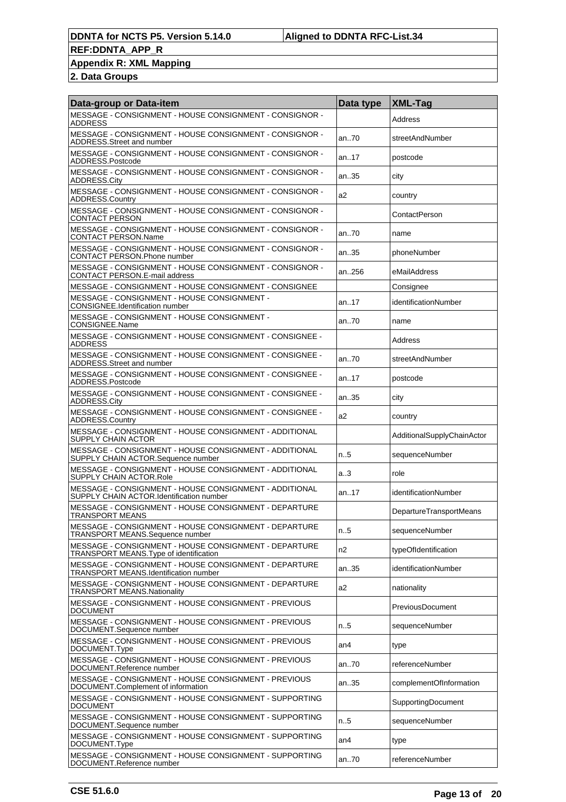### **Appendix R: XML Mapping**

| Data-group or Data-item                                                                            | Data type | <b>XML-Tag</b>             |
|----------------------------------------------------------------------------------------------------|-----------|----------------------------|
| MESSAGE - CONSIGNMENT - HOUSE CONSIGNMENT - CONSIGNOR -<br><b>ADDRESS</b>                          |           | Address                    |
| MESSAGE - CONSIGNMENT - HOUSE CONSIGNMENT - CONSIGNOR -<br>ADDRESS.Street and number               | an70      | streetAndNumber            |
| MESSAGE - CONSIGNMENT - HOUSE CONSIGNMENT - CONSIGNOR -<br>ADDRESS.Postcode                        | an.17     | postcode                   |
| MESSAGE - CONSIGNMENT - HOUSE CONSIGNMENT - CONSIGNOR -<br>ADDRESS.City                            | an35      | city                       |
| MESSAGE - CONSIGNMENT - HOUSE CONSIGNMENT - CONSIGNOR -<br><b>ADDRESS.Country</b>                  | a2        | country                    |
| MESSAGE - CONSIGNMENT - HOUSE CONSIGNMENT - CONSIGNOR -<br><b>CONTACT PERSON</b>                   |           | ContactPerson              |
| MESSAGE - CONSIGNMENT - HOUSE CONSIGNMENT - CONSIGNOR -<br><b>CONTACT PERSON.Name</b>              | an70      | name                       |
| MESSAGE - CONSIGNMENT - HOUSE CONSIGNMENT - CONSIGNOR -<br>CONTACT PERSON.Phone number             | an35      | phoneNumber                |
| MESSAGE - CONSIGNMENT - HOUSE CONSIGNMENT - CONSIGNOR -<br>CONTACT PERSON.E-mail address           | an256     | eMailAddress               |
| MESSAGE - CONSIGNMENT - HOUSE CONSIGNMENT - CONSIGNEE                                              |           | Consignee                  |
| MESSAGE - CONSIGNMENT - HOUSE CONSIGNMENT -<br><b>CONSIGNEE.Identification number</b>              | an17      | identificationNumber       |
| MESSAGE - CONSIGNMENT - HOUSE CONSIGNMENT -<br>CONSIGNEE.Name                                      | an70      | name                       |
| MESSAGE - CONSIGNMENT - HOUSE CONSIGNMENT - CONSIGNEE -<br><b>ADDRESS</b>                          |           | Address                    |
| MESSAGE - CONSIGNMENT - HOUSE CONSIGNMENT - CONSIGNEE -<br>ADDRESS. Street and number              | an70      | streetAndNumber            |
| MESSAGE - CONSIGNMENT - HOUSE CONSIGNMENT - CONSIGNEE -<br>ADDRESS.Postcode                        | an17      | postcode                   |
| MESSAGE - CONSIGNMENT - HOUSE CONSIGNMENT - CONSIGNEE -<br>ADDRESS.City                            | an35      | city                       |
| MESSAGE - CONSIGNMENT - HOUSE CONSIGNMENT - CONSIGNEE -<br>ADDRESS.Country                         | a2        | country                    |
| MESSAGE - CONSIGNMENT - HOUSE CONSIGNMENT - ADDITIONAL<br>SUPPLY CHAIN ACTOR                       |           | AdditionalSupplyChainActor |
| MESSAGE - CONSIGNMENT - HOUSE CONSIGNMENT - ADDITIONAL<br>SUPPLY CHAIN ACTOR.Sequence number       | n.5       | sequenceNumber             |
| MESSAGE - CONSIGNMENT - HOUSE CONSIGNMENT - ADDITIONAL<br>SUPPLY CHAIN ACTOR.Role                  | a.3       | role                       |
| MESSAGE - CONSIGNMENT - HOUSE CONSIGNMENT - ADDITIONAL<br>SUPPLY CHAIN ACTOR.Identification number | an17      | identificationNumber       |
| MESSAGE - CONSIGNMENT - HOUSE CONSIGNMENT - DEPARTURE<br>TRANSPORT MEANS                           |           | DepartureTransportMeans    |
| MESSAGE - CONSIGNMENT - HOUSE CONSIGNMENT - DEPARTURE<br>TRANSPORT MEANS.Sequence number           | n.5       | sequenceNumber             |
| MESSAGE - CONSIGNMENT - HOUSE CONSIGNMENT - DEPARTURE<br>TRANSPORT MEANS. Type of identification   | n2        | typeOfIdentification       |
| MESSAGE - CONSIGNMENT - HOUSE CONSIGNMENT - DEPARTURE<br>TRANSPORT MEANS.Identification number     | an35      | identificationNumber       |
| MESSAGE - CONSIGNMENT - HOUSE CONSIGNMENT - DEPARTURE<br><b>TRANSPORT MEANS.Nationality</b>        | a2        | nationality                |
| MESSAGE - CONSIGNMENT - HOUSE CONSIGNMENT - PREVIOUS<br>DOCUMENT                                   |           | <b>PreviousDocument</b>    |
| MESSAGE - CONSIGNMENT - HOUSE CONSIGNMENT - PREVIOUS<br>DOCUMENT.Sequence number                   | n.5       | sequenceNumber             |
| MESSAGE - CONSIGNMENT - HOUSE CONSIGNMENT - PREVIOUS<br>DOCUMENT.Type                              | an4       | type                       |
| MESSAGE - CONSIGNMENT - HOUSE CONSIGNMENT - PREVIOUS<br>DOCUMENT.Reference number                  | an70      | referenceNumber            |
| MESSAGE - CONSIGNMENT - HOUSE CONSIGNMENT - PREVIOUS<br>DOCUMENT.Complement of information         | an35      | complementOfInformation    |
| MESSAGE - CONSIGNMENT - HOUSE CONSIGNMENT - SUPPORTING<br><b>DOCUMENT</b>                          |           | SupportingDocument         |
| MESSAGE - CONSIGNMENT - HOUSE CONSIGNMENT - SUPPORTING<br>DOCUMENT.Sequence number                 | n.5       | sequenceNumber             |
| MESSAGE - CONSIGNMENT - HOUSE CONSIGNMENT - SUPPORTING<br>DOCUMENT.Type                            | an4       | type                       |
| MESSAGE - CONSIGNMENT - HOUSE CONSIGNMENT - SUPPORTING<br>DOCUMENT.Reference number                | an70      | referenceNumber            |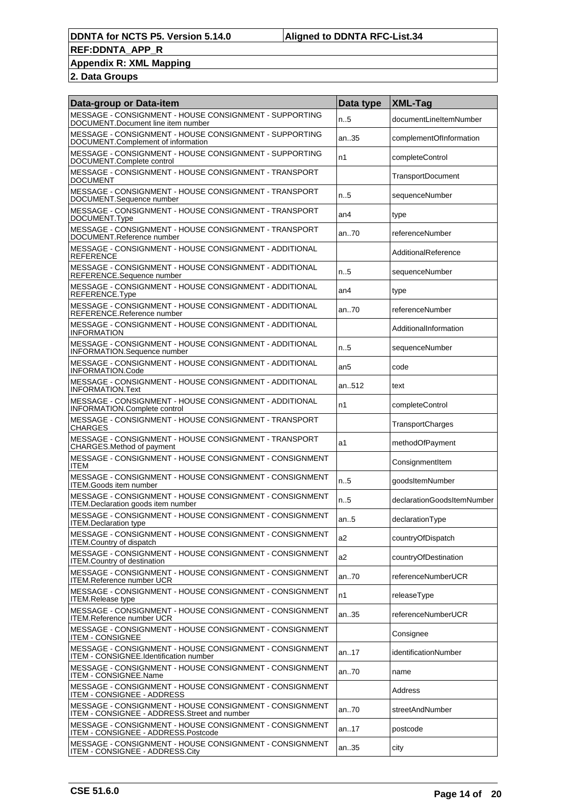### **Appendix R: XML Mapping**

| Data-group or Data-item                                                                                 | Data type       | XML-Tag                    |
|---------------------------------------------------------------------------------------------------------|-----------------|----------------------------|
| MESSAGE - CONSIGNMENT - HOUSE CONSIGNMENT - SUPPORTING<br>DOCUMENT.Document line item number            | n.5             | documentLineItemNumber     |
| MESSAGE - CONSIGNMENT - HOUSE CONSIGNMENT - SUPPORTING<br>DOCUMENT.Complement of information            | an35            | complementOfInformation    |
| MESSAGE - CONSIGNMENT - HOUSE CONSIGNMENT - SUPPORTING<br>DOCUMENT.Complete control                     | n1              | completeControl            |
| MESSAGE - CONSIGNMENT - HOUSE CONSIGNMENT - TRANSPORT<br><b>DOCUMENT</b>                                |                 | <b>TransportDocument</b>   |
| MESSAGE - CONSIGNMENT - HOUSE CONSIGNMENT - TRANSPORT<br>DOCUMENT.Sequence number                       | n.5             | sequenceNumber             |
| MESSAGE - CONSIGNMENT - HOUSE CONSIGNMENT - TRANSPORT<br>DOCUMENT.Type                                  | an4             | type                       |
| MESSAGE - CONSIGNMENT - HOUSE CONSIGNMENT - TRANSPORT<br>DOCUMENT.Reference number                      | an.70           | referenceNumber            |
| MESSAGE - CONSIGNMENT - HOUSE CONSIGNMENT - ADDITIONAL<br><b>REFERENCE</b>                              |                 | AdditionalReference        |
| MESSAGE - CONSIGNMENT - HOUSE CONSIGNMENT - ADDITIONAL<br>REFERENCE.Sequence number                     | n.5             | sequenceNumber             |
| MESSAGE - CONSIGNMENT - HOUSE CONSIGNMENT - ADDITIONAL<br>REFERENCE.Type                                | an <sub>4</sub> | type                       |
| MESSAGE - CONSIGNMENT - HOUSE CONSIGNMENT - ADDITIONAL<br>REFERENCE.Reference number                    | an70            | referenceNumber            |
| MESSAGE - CONSIGNMENT - HOUSE CONSIGNMENT - ADDITIONAL<br><b>INFORMATION</b>                            |                 | AdditionalInformation      |
| MESSAGE - CONSIGNMENT - HOUSE CONSIGNMENT - ADDITIONAL<br><b>INFORMATION.Sequence number</b>            | n.5             | sequenceNumber             |
| MESSAGE - CONSIGNMENT - HOUSE CONSIGNMENT - ADDITIONAL<br>INFORMATION.Code                              | an <sub>5</sub> | code                       |
| MESSAGE - CONSIGNMENT - HOUSE CONSIGNMENT - ADDITIONAL<br><b>INFORMATION.Text</b>                       | an512           | text                       |
| MESSAGE - CONSIGNMENT - HOUSE CONSIGNMENT - ADDITIONAL<br>INFORMATION.Complete control                  | n1              | completeControl            |
| MESSAGE - CONSIGNMENT - HOUSE CONSIGNMENT - TRANSPORT<br><b>CHARGES</b>                                 |                 | TransportCharges           |
| MESSAGE - CONSIGNMENT - HOUSE CONSIGNMENT - TRANSPORT<br>CHARGES.Method of payment                      | a1              | methodOfPayment            |
| MESSAGE - CONSIGNMENT - HOUSE CONSIGNMENT - CONSIGNMENT<br>ITEM                                         |                 | ConsignmentItem            |
| MESSAGE - CONSIGNMENT - HOUSE CONSIGNMENT - CONSIGNMENT<br><b>ITEM.Goods item number</b>                | n.5             | qoodsItemNumber            |
| MESSAGE - CONSIGNMENT - HOUSE CONSIGNMENT - CONSIGNMENT<br>ITEM.Declaration goods item number           | n.5             | declarationGoodsItemNumber |
| MESSAGE - CONSIGNMENT - HOUSE CONSIGNMENT - CONSIGNMENT<br><b>II EM.Declaration type</b>                | an.5            | declarationType            |
| MESSAGE - CONSIGNMENT - HOUSE CONSIGNMENT - CONSIGNMENT<br><b>ITEM.Country of dispatch</b>              | a2              | countryOfDispatch          |
| MESSAGE - CONSIGNMENT - HOUSE CONSIGNMENT - CONSIGNMENT<br><b>ITEM.Country of destination</b>           | a2              | countryOfDestination       |
| MESSAGE - CONSIGNMENT - HOUSE CONSIGNMENT - CONSIGNMENT<br><b>ITEM.Reference number UCR</b>             | an70            | referenceNumberUCR         |
| MESSAGE - CONSIGNMENT - HOUSE CONSIGNMENT - CONSIGNMENT<br><b>ITEM.Release type</b>                     | n1              | releaseType                |
| MESSAGE - CONSIGNMENT - HOUSE CONSIGNMENT - CONSIGNMENT<br><b>ITEM.Reference number UCR</b>             | an35            | referenceNumberUCR         |
| MESSAGE - CONSIGNMENT - HOUSE CONSIGNMENT - CONSIGNMENT<br><b>ITEM - CONSIGNEE</b>                      |                 | Consignee                  |
| MESSAGE - CONSIGNMENT - HOUSE CONSIGNMENT - CONSIGNMENT<br>ITEM - CONSIGNEE.Identification number       | an.17           | identificationNumber       |
| MESSAGE - CONSIGNMENT - HOUSE CONSIGNMENT - CONSIGNMENT<br>ITEM - CONSIGNEE.Name                        | an70            | name                       |
| MESSAGE - CONSIGNMENT - HOUSE CONSIGNMENT - CONSIGNMENT<br>ITEM - CONSIGNEE - ADDRESS                   |                 | Address                    |
| MESSAGE - CONSIGNMENT - HOUSE CONSIGNMENT - CONSIGNMENT<br>ITEM - CONSIGNEE - ADDRESS.Street and number | an70            | streetAndNumber            |
| MESSAGE - CONSIGNMENT - HOUSE CONSIGNMENT - CONSIGNMENT<br>ITEM - CONSIGNEE - ADDRESS.Postcode          | an17            | postcode                   |
| MESSAGE - CONSIGNMENT - HOUSE CONSIGNMENT - CONSIGNMENT<br>ITEM - CONSIGNEE - ADDRESS.City              | an35            | city                       |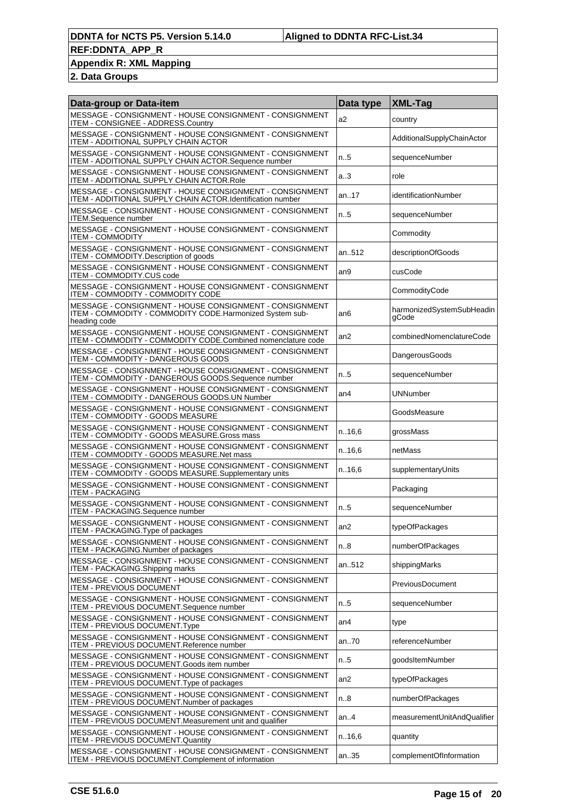### **Appendix R: XML Mapping**

| Data-group or Data-item                                                                                                             | Data type        | <b>XML-Tag</b>                     |
|-------------------------------------------------------------------------------------------------------------------------------------|------------------|------------------------------------|
| MESSAGE - CONSIGNMENT - HOUSE CONSIGNMENT - CONSIGNMENT<br>ITEM - CONSIGNEE - ADDRESS.Country                                       | a2               | country                            |
| MESSAGE - CONSIGNMENT - HOUSE CONSIGNMENT - CONSIGNMENT<br>ITEM - ADDITIONAL SUPPLY CHAIN ACTOR                                     |                  | AdditionalSupplyChainActor         |
| MESSAGE - CONSIGNMENT - HOUSE CONSIGNMENT - CONSIGNMENT<br>ITEM - ADDITIONAL SUPPLY CHAIN ACTOR.Sequence number                     | n.5              | sequenceNumber                     |
| MESSAGE - CONSIGNMENT - HOUSE CONSIGNMENT - CONSIGNMENT<br>ITEM - ADDITIONAL SUPPLY CHAIN ACTOR.Role                                | a <sub>0</sub> 3 | role                               |
| MESSAGE - CONSIGNMENT - HOUSE CONSIGNMENT - CONSIGNMENT<br>ITEM - ADDITIONAL SUPPLY CHAIN ACTOR.Identification number               | an17             | identificationNumber               |
| MESSAGE - CONSIGNMENT - HOUSE CONSIGNMENT - CONSIGNMENT<br><b>ITEM.Sequence number</b>                                              | n.5              | sequenceNumber                     |
| MESSAGE - CONSIGNMENT - HOUSE CONSIGNMENT - CONSIGNMENT<br><b>ITEM - COMMODITY</b>                                                  |                  | Commodity                          |
| MESSAGE - CONSIGNMENT - HOUSE CONSIGNMENT - CONSIGNMENT<br>ITEM - COMMODITY.Description of goods                                    | an512            | descriptionOfGoods                 |
| MESSAGE - CONSIGNMENT - HOUSE CONSIGNMENT - CONSIGNMENT<br>ITEM - COMMODITY.CUS code                                                | an9              | cusCode                            |
| MESSAGE - CONSIGNMENT - HOUSE CONSIGNMENT - CONSIGNMENT<br><b>ITEM - COMMODITY - COMMODITY CODE</b>                                 |                  | CommodityCode                      |
| MESSAGE - CONSIGNMENT - HOUSE CONSIGNMENT - CONSIGNMENT<br>ITEM - COMMODITY - COMMODITY CODE.Harmonized System sub-<br>heading code | an6              | harmonizedSystemSubHeadin<br>gCode |
| MESSAGE - CONSIGNMENT - HOUSE CONSIGNMENT - CONSIGNMENT<br>ITEM - COMMODITY - COMMODITY CODE.Combined nomenclature code             | an <sub>2</sub>  | combinedNomenclatureCode           |
| MESSAGE - CONSIGNMENT - HOUSE CONSIGNMENT - CONSIGNMENT<br>ITEM - COMMODITY - DANGEROUS GOODS                                       |                  | DangerousGoods                     |
| MESSAGE - CONSIGNMENT - HOUSE CONSIGNMENT - CONSIGNMENT<br>ITEM - COMMODITY - DANGEROUS GOODS.Sequence number                       | n.5              | sequenceNumber                     |
| MESSAGE - CONSIGNMENT - HOUSE CONSIGNMENT - CONSIGNMENT<br>ITEM - COMMODITY - DANGEROUS GOODS.UN Number                             | an <sub>4</sub>  | <b>UNNumber</b>                    |
| MESSAGE - CONSIGNMENT - HOUSE CONSIGNMENT - CONSIGNMENT<br>ITEM - COMMODITY - GOODS MEASURE                                         |                  | GoodsMeasure                       |
| MESSAGE - CONSIGNMENT - HOUSE CONSIGNMENT - CONSIGNMENT<br>ITEM - COMMODITY - GOODS MEASURE.Gross mass                              | n.16,6           | grossMass                          |
| MESSAGE - CONSIGNMENT - HOUSE CONSIGNMENT - CONSIGNMENT<br>ITEM - COMMODITY - GOODS MEASURE.Net mass                                | n.16,6           | netMass                            |
| MESSAGE - CONSIGNMENT - HOUSE CONSIGNMENT - CONSIGNMENT<br>ITEM - COMMODITY - GOODS MEASURE.Supplementary units                     | n.16,6           | supplementaryUnits                 |
| MESSAGE - CONSIGNMENT - HOUSE CONSIGNMENT - CONSIGNMENT<br><b>ITEM - PACKAGING</b>                                                  |                  | Packaging                          |
| MESSAGE - CONSIGNMENT - HOUSE CONSIGNMENT - CONSIGNMENT<br>ITEM - PACKAGING.Sequence number                                         | n.5              | sequenceNumber                     |
| MESSAGE - CONSIGNMENT - HOUSE CONSIGNMENT - CONSIGNMENT<br>ITEM - PACKAGING. Type of packages                                       | an2              | typeOfPackages                     |
| MESSAGE - CONSIGNMENT - HOUSE CONSIGNMENT - CONSIGNMENT<br>ITEM - PACKAGING.Number of packages                                      | n.8              | numberOfPackages                   |
| MESSAGE - CONSIGNMENT - HOUSE CONSIGNMENT - CONSIGNMENT<br>ITEM - PACKAGING. Shipping marks                                         | an512            | shippingMarks                      |
| MESSAGE - CONSIGNMENT - HOUSE CONSIGNMENT - CONSIGNMENT<br><b>ITEM - PREVIOUS DOCUMENT</b>                                          |                  | PreviousDocument                   |
| MESSAGE - CONSIGNMENT - HOUSE CONSIGNMENT - CONSIGNMENT<br>ITEM - PREVIOUS DOCUMENT.Sequence number                                 | n.5              | sequenceNumber                     |
| MESSAGE - CONSIGNMENT - HOUSE CONSIGNMENT - CONSIGNMENT<br>ITEM - PREVIOUS DOCUMENT. Type                                           | an4              | type                               |
| MESSAGE - CONSIGNMENT - HOUSE CONSIGNMENT - CONSIGNMENT<br>ITEM - PREVIOUS DOCUMENT.Reference number                                | an70             | referenceNumber                    |
| MESSAGE - CONSIGNMENT - HOUSE CONSIGNMENT - CONSIGNMENT<br>ITEM - PREVIOUS DOCUMENT.Goods item number                               | n.5              | goodsItemNumber                    |
| MESSAGE - CONSIGNMENT - HOUSE CONSIGNMENT - CONSIGNMENT<br>ITEM - PREVIOUS DOCUMENT. Type of packages                               | an2              | typeOfPackages                     |
| MESSAGE - CONSIGNMENT - HOUSE CONSIGNMENT - CONSIGNMENT<br>ITEM - PREVIOUS DOCUMENT. Number of packages                             | n.8              | numberOfPackages                   |
| MESSAGE - CONSIGNMENT - HOUSE CONSIGNMENT - CONSIGNMENT<br>ITEM - PREVIOUS DOCUMENT. Measurement unit and qualifier                 | an.4             | measurementUnitAndQualifier        |
| MESSAGE - CONSIGNMENT - HOUSE CONSIGNMENT - CONSIGNMENT<br>ITEM - PREVIOUS DOCUMENT.Quantity                                        | n16,6            | quantity                           |
| MESSAGE - CONSIGNMENT - HOUSE CONSIGNMENT - CONSIGNMENT<br><b>ITEM - PREVIOUS DOCUMENT.Complement of information</b>                | an35             | complementOfInformation            |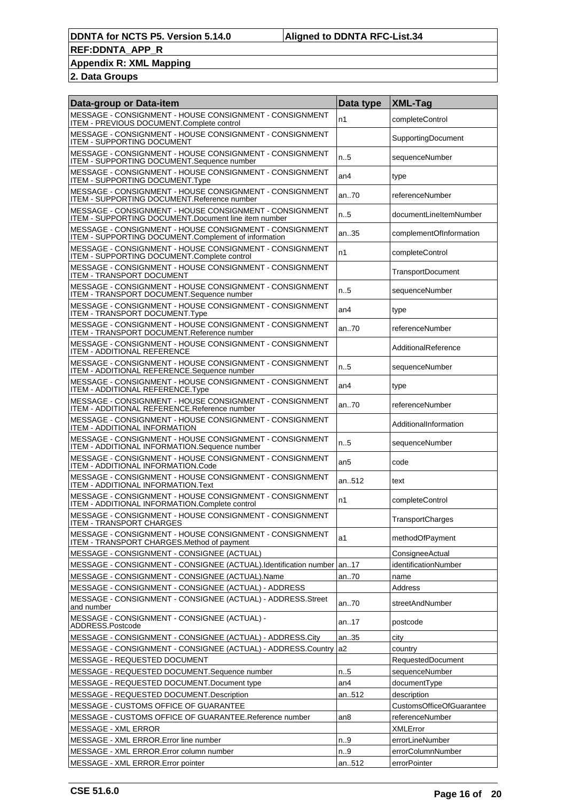## **Appendix R: XML Mapping**

| Data-group or Data-item                                                                                         | Data type       | <b>XML-Tag</b>                  |
|-----------------------------------------------------------------------------------------------------------------|-----------------|---------------------------------|
| MESSAGE - CONSIGNMENT - HOUSE CONSIGNMENT - CONSIGNMENT<br>ITEM - PREVIOUS DOCUMENT.Complete control            | n1              | completeControl                 |
| MESSAGE - CONSIGNMENT - HOUSE CONSIGNMENT - CONSIGNMENT<br><b>ITEM - SUPPORTING DOCUMENT</b>                    |                 | SupportingDocument              |
| MESSAGE - CONSIGNMENT - HOUSE CONSIGNMENT - CONSIGNMENT<br>ITEM - SUPPORTING DOCUMENT.Sequence number           | n.5             | sequenceNumber                  |
| MESSAGE - CONSIGNMENT - HOUSE CONSIGNMENT - CONSIGNMENT<br>ITEM - SUPPORTING DOCUMENT.Type                      | an <sub>4</sub> | type                            |
| MESSAGE - CONSIGNMENT - HOUSE CONSIGNMENT - CONSIGNMENT<br><b>ITEM - SUPPORTING DOCUMENT.Reference number</b>   | an.70           | referenceNumber                 |
| MESSAGE - CONSIGNMENT - HOUSE CONSIGNMENT - CONSIGNMENT<br>ITEM - SUPPORTING DOCUMENT.Document line item number | n.5             | documentLineItemNumber          |
| MESSAGE - CONSIGNMENT - HOUSE CONSIGNMENT - CONSIGNMENT<br>ITEM - SUPPORTING DOCUMENT.Complement of information | an35            | complementOfInformation         |
| MESSAGE - CONSIGNMENT - HOUSE CONSIGNMENT - CONSIGNMENT<br><b>ITEM - SUPPORTING DOCUMENT.Complete control</b>   | n1              | completeControl                 |
| MESSAGE - CONSIGNMENT - HOUSE CONSIGNMENT - CONSIGNMENT<br><b>ITEM - TRANSPORT DOCUMENT</b>                     |                 | <b>TransportDocument</b>        |
| MESSAGE - CONSIGNMENT - HOUSE CONSIGNMENT - CONSIGNMENT<br>ITEM - TRANSPORT DOCUMENT.Sequence number            | n.5             | sequenceNumber                  |
| MESSAGE - CONSIGNMENT - HOUSE CONSIGNMENT - CONSIGNMENT<br>ITEM - TRANSPORT DOCUMENT.Type                       | an4             | type                            |
| MESSAGE - CONSIGNMENT - HOUSE CONSIGNMENT - CONSIGNMENT<br>ITEM - TRANSPORT DOCUMENT.Reference number           | an.70           | referenceNumber                 |
| MESSAGE - CONSIGNMENT - HOUSE CONSIGNMENT - CONSIGNMENT<br>ITEM - ADDITIONAL REFERENCE                          |                 | AdditionalReference             |
| MESSAGE - CONSIGNMENT - HOUSE CONSIGNMENT - CONSIGNMENT<br>ITEM - ADDITIONAL REFERENCE.Sequence number          | n.5             | sequenceNumber                  |
| MESSAGE - CONSIGNMENT - HOUSE CONSIGNMENT - CONSIGNMENT<br>ITEM - ADDITIONAL REFERENCE.Type                     | an <sub>4</sub> | type                            |
| MESSAGE - CONSIGNMENT - HOUSE CONSIGNMENT - CONSIGNMENT<br>ITEM - ADDITIONAL REFERENCE.Reference number         | an.70           | referenceNumber                 |
| MESSAGE - CONSIGNMENT - HOUSE CONSIGNMENT - CONSIGNMENT<br>ITEM - ADDITIONAL INFORMATION                        |                 | AdditionalInformation           |
| MESSAGE - CONSIGNMENT - HOUSE CONSIGNMENT - CONSIGNMENT<br>ITEM - ADDITIONAL INFORMATION.Sequence number        | n.5             | sequenceNumber                  |
| MESSAGE - CONSIGNMENT - HOUSE CONSIGNMENT - CONSIGNMENT<br>ITEM - ADDITIONAL INFORMATION.Code                   | an <sub>5</sub> | code                            |
| MESSAGE - CONSIGNMENT - HOUSE CONSIGNMENT - CONSIGNMENT<br>ITEM - ADDITIONAL INFORMATION.Text                   | an512           | text                            |
| MESSAGE - CONSIGNMENT - HOUSE CONSIGNMENT - CONSIGNMENT<br>ITEM - ADDITIONAL INFORMATION.Complete control       | n1              | completeControl                 |
| MESSAGE - CONSIGNMENT - HOUSE CONSIGNMENT - CONSIGNMENT<br>ITEM - TRANSPORT CHARGES                             |                 | <b>TransportCharges</b>         |
| MESSAGE - CONSIGNMENT - HOUSE CONSIGNMENT - CONSIGNMENT<br>ITEM - TRANSPORT CHARGES.Method of payment           | a1              | methodOfPayment                 |
| MESSAGE - CONSIGNMENT - CONSIGNEE (ACTUAL)                                                                      |                 | ConsigneeActual                 |
| MESSAGE - CONSIGNMENT - CONSIGNEE (ACTUAL).Identification number                                                | an17            | identificationNumber            |
| MESSAGE - CONSIGNMENT - CONSIGNEE (ACTUAL).Name                                                                 | an70            | name                            |
| MESSAGE - CONSIGNMENT - CONSIGNEE (ACTUAL) - ADDRESS                                                            |                 | Address                         |
| MESSAGE - CONSIGNMENT - CONSIGNEE (ACTUAL) - ADDRESS.Street<br>and number                                       | an70            | streetAndNumber                 |
| MESSAGE - CONSIGNMENT - CONSIGNEE (ACTUAL) -<br>ADDRESS.Postcode                                                | an17            | postcode                        |
| MESSAGE - CONSIGNMENT - CONSIGNEE (ACTUAL) - ADDRESS.City                                                       | an35            | city                            |
| MESSAGE - CONSIGNMENT - CONSIGNEE (ACTUAL) - ADDRESS.Country                                                    | a2              | country                         |
| MESSAGE - REQUESTED DOCUMENT                                                                                    |                 | RequestedDocument               |
| MESSAGE - REQUESTED DOCUMENT.Sequence number                                                                    | n.5             | sequenceNumber                  |
| MESSAGE - REQUESTED DOCUMENT. Document type                                                                     | an4             | documentType                    |
| MESSAGE - REQUESTED DOCUMENT. Description                                                                       | an512           | description                     |
| MESSAGE - CUSTOMS OFFICE OF GUARANTEE                                                                           |                 | <b>CustomsOfficeOfGuarantee</b> |
| MESSAGE - CUSTOMS OFFICE OF GUARANTEE.Reference number                                                          | an8             | referenceNumber                 |
|                                                                                                                 |                 |                                 |
| MESSAGE - XML ERROR                                                                                             |                 | <b>XMLError</b>                 |
| MESSAGE - XML ERROR. Error line number                                                                          | n.9             | errorLineNumber                 |
| MESSAGE - XML ERROR.Error column number                                                                         | n.9             | errorColumnNumber               |
| MESSAGE - XML ERROR. Error pointer                                                                              | an512           | errorPointer                    |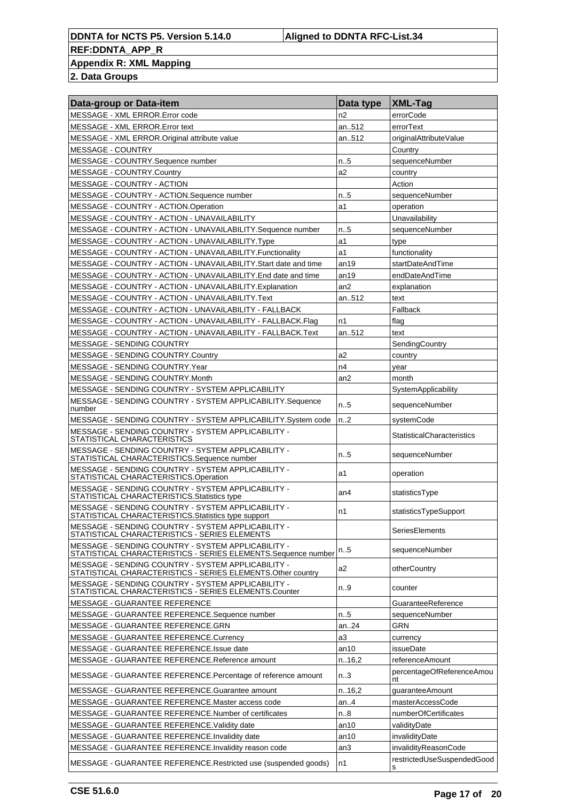#### **DDNTA for NCTS P5. Version 5.14.0 Aligned to DDNTA RFC-List.34 REF:DDNTA\_APP\_R Appendix R: XML Mapping**

| Data-group or Data-item                                                                                              | Data type        | <b>XML-Tag</b>                    |
|----------------------------------------------------------------------------------------------------------------------|------------------|-----------------------------------|
| MESSAGE - XML ERROR. Error code                                                                                      | n2               | errorCode                         |
| MESSAGE - XML ERROR.Error text                                                                                       | an512            | errorText                         |
| MESSAGE - XML ERROR.Original attribute value                                                                         | an512            | originalAttributeValue            |
| MESSAGE - COUNTRY                                                                                                    |                  | Country                           |
| MESSAGE - COUNTRY.Sequence number                                                                                    | n.5              | sequenceNumber                    |
| MESSAGE - COUNTRY.Country                                                                                            | a2               | country                           |
| MESSAGE - COUNTRY - ACTION                                                                                           |                  | Action                            |
| MESSAGE - COUNTRY - ACTION.Sequence number                                                                           | n.5              | sequenceNumber                    |
| MESSAGE - COUNTRY - ACTION.Operation                                                                                 | a1               | operation                         |
| MESSAGE - COUNTRY - ACTION - UNAVAILABILITY                                                                          |                  | Unavailability                    |
| MESSAGE - COUNTRY - ACTION - UNAVAILABILITY.Sequence number                                                          | $n_{.}.5$        | sequenceNumber                    |
| MESSAGE - COUNTRY - ACTION - UNAVAILABILITY.Type                                                                     | a1               | type                              |
| MESSAGE - COUNTRY - ACTION - UNAVAILABILITY.Functionality                                                            | a1               | functionality                     |
| MESSAGE - COUNTRY - ACTION - UNAVAILABILITY. Start date and time                                                     | an19             | startDateAndTime                  |
| MESSAGE - COUNTRY - ACTION - UNAVAILABILITY.End date and time                                                        | an19             | endDateAndTime                    |
| MESSAGE - COUNTRY - ACTION - UNAVAILABILITY. Explanation                                                             | an <sub>2</sub>  | explanation                       |
| MESSAGE - COUNTRY - ACTION - UNAVAILABILITY.Text                                                                     | an512            | text                              |
| MESSAGE - COUNTRY - ACTION - UNAVAILABILITY - FALLBACK                                                               |                  | Fallback                          |
| MESSAGE - COUNTRY - ACTION - UNAVAILABILITY - FALLBACK.Flag                                                          | n1               | flag                              |
| MESSAGE - COUNTRY - ACTION - UNAVAILABILITY - FALLBACK.Text                                                          | an512            | text                              |
| <b>MESSAGE - SENDING COUNTRY</b>                                                                                     |                  | SendingCountry                    |
| MESSAGE - SENDING COUNTRY.Country                                                                                    | a <sub>2</sub>   | country                           |
| MESSAGE - SENDING COUNTRY.Year                                                                                       | n4               | vear                              |
| MESSAGE - SENDING COUNTRY.Month                                                                                      | an <sub>2</sub>  | month                             |
| MESSAGE - SENDING COUNTRY - SYSTEM APPLICABILITY                                                                     |                  | SystemApplicability               |
| MESSAGE - SENDING COUNTRY - SYSTEM APPLICABILITY.Sequence<br>number                                                  | n.5              | sequenceNumber                    |
| MESSAGE - SENDING COUNTRY - SYSTEM APPLICABILITY.System code                                                         | n <sub>1</sub> 2 | systemCode                        |
| MESSAGE - SENDING COUNTRY - SYSTEM APPLICABILITY -<br>STATISTICAL CHARACTERISTICS                                    |                  | <b>StatisticalCharacteristics</b> |
| MESSAGE - SENDING COUNTRY - SYSTEM APPLICABILITY -<br>STATISTICAL CHARACTERISTICS.Sequence number                    | $n_{.}.5$        | sequenceNumber                    |
| MESSAGE - SENDING COUNTRY - SYSTEM APPLICABILITY -<br>STATISTICAL CHARACTERISTICS.Operation                          | a1               | operation                         |
| MESSAGE - SENDING COUNTRY - SYSTEM APPLICABILITY -<br>STATISTICAL CHARACTERISTICS. Statistics type                   | an4              | statisticsType                    |
| MESSAGE - SENDING COUNTRY - SYSTEM APPLICABILITY -<br>STATISTICAL CHARACTERISTICS. Statistics type support           | n1               | statisticsTypeSupport             |
| MESSAGE - SENDING COUNTRY - SYSTEM APPLICABILITY -<br>STATISTICAL CHARACTERISTICS - SERIES ELEMENTS                  |                  | SeriesElements                    |
| MESSAGE - SENDING COUNTRY - SYSTEM APPLICABILITY -<br>STATISTICAL CHARACTERISTICS - SERIES ELEMENTS. Sequence number | n.5              | sequenceNumber                    |
| MESSAGE - SENDING COUNTRY - SYSTEM APPLICABILITY -<br>STATISTICAL CHARACTERISTICS - SERIES ELEMENTS. Other country   | a2               | otherCountry                      |
| MESSAGE - SENDING COUNTRY - SYSTEM APPLICABILITY -<br>STATISTICAL CHARACTERISTICS - SERIES ELEMENTS.Counter          | n9               | counter                           |
| MESSAGE - GUARANTEE REFERENCE                                                                                        |                  | GuaranteeReference                |
| MESSAGE - GUARANTEE REFERENCE.Sequence number                                                                        | n.5              | sequenceNumber                    |
| MESSAGE - GUARANTEE REFERENCE.GRN                                                                                    | an24             | <b>GRN</b>                        |
| MESSAGE - GUARANTEE REFERENCE.Currency                                                                               | a3               | currency                          |
| MESSAGE - GUARANTEE REFERENCE.Issue date                                                                             | an10             | issueDate                         |
| MESSAGE - GUARANTEE REFERENCE.Reference amount                                                                       | n.16,2           | referenceAmount                   |
| MESSAGE - GUARANTEE REFERENCE.Percentage of reference amount                                                         | n <sub>0</sub> 3 | percentageOfReferenceAmou<br>nt   |
| MESSAGE - GUARANTEE REFERENCE.Guarantee amount                                                                       | n.16,2           | guaranteeAmount                   |
| MESSAGE - GUARANTEE REFERENCE.Master access code                                                                     | an.4             | masterAccessCode                  |
| MESSAGE - GUARANTEE REFERENCE.Number of certificates                                                                 | n.8              | numberOfCertificates              |
| MESSAGE - GUARANTEE REFERENCE. Validity date                                                                         | an10             | validityDate                      |
| MESSAGE - GUARANTEE REFERENCE. Invalidity date                                                                       | an10             | invalidityDate                    |
| MESSAGE - GUARANTEE REFERENCE. Invalidity reason code                                                                | an3              | invalidityReasonCode              |
| MESSAGE - GUARANTEE REFERENCE.Restricted use (suspended goods)                                                       | n1               | restrictedUseSuspendedGood<br>s   |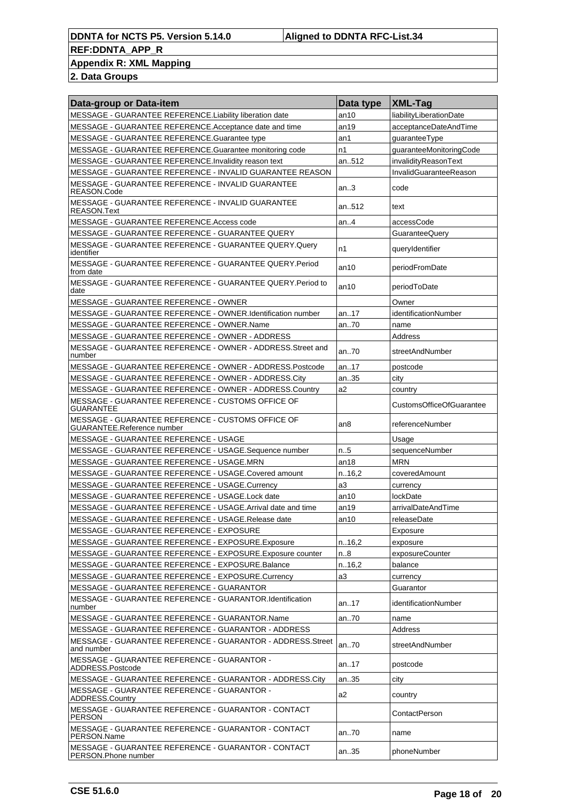**Appendix R: XML Mapping**

| MESSAGE - GUARANTEE REFERENCE.Liability liberation date<br>an10<br>liabilityLiberationDate<br>MESSAGE - GUARANTEE REFERENCE.Acceptance date and time<br>an19<br>acceptanceDateAndTime<br>MESSAGE - GUARANTEE REFERENCE.Guarantee type<br>an1<br>guaranteeType<br>MESSAGE - GUARANTEE REFERENCE.Guarantee monitoring code<br>n1<br>guaranteeMonitoringCode<br>MESSAGE - GUARANTEE REFERENCE. Invalidity reason text<br>an512<br>invalidityReasonText<br>InvalidGuaranteeReason<br>MESSAGE - GUARANTEE REFERENCE - INVALID GUARANTEE REASON<br>MESSAGE - GUARANTEE REFERENCE - INVALID GUARANTEE<br>an.3<br>code<br>REASON.Code<br>MESSAGE - GUARANTEE REFERENCE - INVALID GUARANTEE<br>an512<br>text<br>REASON.Text<br>MESSAGE - GUARANTEE REFERENCE.Access code<br>an.4<br>accessCode<br>MESSAGE - GUARANTEE REFERENCE - GUARANTEE QUERY<br>GuaranteeQuery<br>MESSAGE - GUARANTEE REFERENCE - GUARANTEE QUERY.Query<br>n1<br>queryIdentifier<br>identifier<br>MESSAGE - GUARANTEE REFERENCE - GUARANTEE QUERY.Period<br>periodFromDate<br>an10<br>from date<br>MESSAGE - GUARANTEE REFERENCE - GUARANTEE QUERY Period to<br>periodToDate<br>an10 |
|--------------------------------------------------------------------------------------------------------------------------------------------------------------------------------------------------------------------------------------------------------------------------------------------------------------------------------------------------------------------------------------------------------------------------------------------------------------------------------------------------------------------------------------------------------------------------------------------------------------------------------------------------------------------------------------------------------------------------------------------------------------------------------------------------------------------------------------------------------------------------------------------------------------------------------------------------------------------------------------------------------------------------------------------------------------------------------------------------------------------------------------------------|
|                                                                                                                                                                                                                                                                                                                                                                                                                                                                                                                                                                                                                                                                                                                                                                                                                                                                                                                                                                                                                                                                                                                                                  |
|                                                                                                                                                                                                                                                                                                                                                                                                                                                                                                                                                                                                                                                                                                                                                                                                                                                                                                                                                                                                                                                                                                                                                  |
|                                                                                                                                                                                                                                                                                                                                                                                                                                                                                                                                                                                                                                                                                                                                                                                                                                                                                                                                                                                                                                                                                                                                                  |
|                                                                                                                                                                                                                                                                                                                                                                                                                                                                                                                                                                                                                                                                                                                                                                                                                                                                                                                                                                                                                                                                                                                                                  |
|                                                                                                                                                                                                                                                                                                                                                                                                                                                                                                                                                                                                                                                                                                                                                                                                                                                                                                                                                                                                                                                                                                                                                  |
|                                                                                                                                                                                                                                                                                                                                                                                                                                                                                                                                                                                                                                                                                                                                                                                                                                                                                                                                                                                                                                                                                                                                                  |
|                                                                                                                                                                                                                                                                                                                                                                                                                                                                                                                                                                                                                                                                                                                                                                                                                                                                                                                                                                                                                                                                                                                                                  |
|                                                                                                                                                                                                                                                                                                                                                                                                                                                                                                                                                                                                                                                                                                                                                                                                                                                                                                                                                                                                                                                                                                                                                  |
|                                                                                                                                                                                                                                                                                                                                                                                                                                                                                                                                                                                                                                                                                                                                                                                                                                                                                                                                                                                                                                                                                                                                                  |
|                                                                                                                                                                                                                                                                                                                                                                                                                                                                                                                                                                                                                                                                                                                                                                                                                                                                                                                                                                                                                                                                                                                                                  |
|                                                                                                                                                                                                                                                                                                                                                                                                                                                                                                                                                                                                                                                                                                                                                                                                                                                                                                                                                                                                                                                                                                                                                  |
|                                                                                                                                                                                                                                                                                                                                                                                                                                                                                                                                                                                                                                                                                                                                                                                                                                                                                                                                                                                                                                                                                                                                                  |
| date                                                                                                                                                                                                                                                                                                                                                                                                                                                                                                                                                                                                                                                                                                                                                                                                                                                                                                                                                                                                                                                                                                                                             |
| MESSAGE - GUARANTEE REFERENCE - OWNER<br>Owner                                                                                                                                                                                                                                                                                                                                                                                                                                                                                                                                                                                                                                                                                                                                                                                                                                                                                                                                                                                                                                                                                                   |
| identificationNumber<br>MESSAGE - GUARANTEE REFERENCE - OWNER.Identification number<br>an17                                                                                                                                                                                                                                                                                                                                                                                                                                                                                                                                                                                                                                                                                                                                                                                                                                                                                                                                                                                                                                                      |
| an70<br>MESSAGE - GUARANTEE REFERENCE - OWNER.Name<br>name                                                                                                                                                                                                                                                                                                                                                                                                                                                                                                                                                                                                                                                                                                                                                                                                                                                                                                                                                                                                                                                                                       |
| Address<br>MESSAGE - GUARANTEE REFERENCE - OWNER - ADDRESS                                                                                                                                                                                                                                                                                                                                                                                                                                                                                                                                                                                                                                                                                                                                                                                                                                                                                                                                                                                                                                                                                       |
| MESSAGE - GUARANTEE REFERENCE - OWNER - ADDRESS.Street and<br>an.70<br>streetAndNumber<br>number                                                                                                                                                                                                                                                                                                                                                                                                                                                                                                                                                                                                                                                                                                                                                                                                                                                                                                                                                                                                                                                 |
| MESSAGE - GUARANTEE REFERENCE - OWNER - ADDRESS.Postcode<br>an17<br>postcode                                                                                                                                                                                                                                                                                                                                                                                                                                                                                                                                                                                                                                                                                                                                                                                                                                                                                                                                                                                                                                                                     |
| MESSAGE - GUARANTEE REFERENCE - OWNER - ADDRESS.City<br>an35<br>city                                                                                                                                                                                                                                                                                                                                                                                                                                                                                                                                                                                                                                                                                                                                                                                                                                                                                                                                                                                                                                                                             |
| MESSAGE - GUARANTEE REFERENCE - OWNER - ADDRESS.Country<br>a <sub>2</sub><br>country                                                                                                                                                                                                                                                                                                                                                                                                                                                                                                                                                                                                                                                                                                                                                                                                                                                                                                                                                                                                                                                             |
| MESSAGE - GUARANTEE REFERENCE - CUSTOMS OFFICE OF<br><b>CustomsOfficeOfGuarantee</b><br><b>GUARANTEE</b>                                                                                                                                                                                                                                                                                                                                                                                                                                                                                                                                                                                                                                                                                                                                                                                                                                                                                                                                                                                                                                         |
| MESSAGE - GUARANTEE REFERENCE - CUSTOMS OFFICE OF<br>an <sub>8</sub><br>referenceNumber<br>GUARANTEE.Reference number                                                                                                                                                                                                                                                                                                                                                                                                                                                                                                                                                                                                                                                                                                                                                                                                                                                                                                                                                                                                                            |
| MESSAGE - GUARANTEE REFERENCE - USAGE<br>Usage                                                                                                                                                                                                                                                                                                                                                                                                                                                                                                                                                                                                                                                                                                                                                                                                                                                                                                                                                                                                                                                                                                   |
| n.5<br>MESSAGE - GUARANTEE REFERENCE - USAGE.Sequence number<br>sequenceNumber                                                                                                                                                                                                                                                                                                                                                                                                                                                                                                                                                                                                                                                                                                                                                                                                                                                                                                                                                                                                                                                                   |
| MESSAGE - GUARANTEE REFERENCE - USAGE.MRN<br>an18<br><b>MRN</b>                                                                                                                                                                                                                                                                                                                                                                                                                                                                                                                                                                                                                                                                                                                                                                                                                                                                                                                                                                                                                                                                                  |
| n.16,2<br>coveredAmount<br>MESSAGE - GUARANTEE REFERENCE - USAGE.Covered amount                                                                                                                                                                                                                                                                                                                                                                                                                                                                                                                                                                                                                                                                                                                                                                                                                                                                                                                                                                                                                                                                  |
| a <sub>3</sub><br>MESSAGE - GUARANTEE REFERENCE - USAGE.Currency<br>currency                                                                                                                                                                                                                                                                                                                                                                                                                                                                                                                                                                                                                                                                                                                                                                                                                                                                                                                                                                                                                                                                     |
| MESSAGE - GUARANTEE REFERENCE - USAGE.Lock date<br>an10<br>lockDate                                                                                                                                                                                                                                                                                                                                                                                                                                                                                                                                                                                                                                                                                                                                                                                                                                                                                                                                                                                                                                                                              |
| MESSAGE - GUARANTEE REFERENCE - USAGE.Arrival date and time<br>an19<br>arrivalDateAndTime                                                                                                                                                                                                                                                                                                                                                                                                                                                                                                                                                                                                                                                                                                                                                                                                                                                                                                                                                                                                                                                        |
| MESSAGE - GUARANTEE REFERENCE - USAGE.Release date<br>an10<br>releaseDate                                                                                                                                                                                                                                                                                                                                                                                                                                                                                                                                                                                                                                                                                                                                                                                                                                                                                                                                                                                                                                                                        |
| MESSAGE - GUARANTEE REFERENCE - EXPOSURE<br>Exposure                                                                                                                                                                                                                                                                                                                                                                                                                                                                                                                                                                                                                                                                                                                                                                                                                                                                                                                                                                                                                                                                                             |
| MESSAGE - GUARANTEE REFERENCE - EXPOSURE.Exposure<br>n.16,2<br>exposure                                                                                                                                                                                                                                                                                                                                                                                                                                                                                                                                                                                                                                                                                                                                                                                                                                                                                                                                                                                                                                                                          |
| MESSAGE - GUARANTEE REFERENCE - EXPOSURE.Exposure counter<br>n.8<br>exposureCounter                                                                                                                                                                                                                                                                                                                                                                                                                                                                                                                                                                                                                                                                                                                                                                                                                                                                                                                                                                                                                                                              |
| MESSAGE - GUARANTEE REFERENCE - EXPOSURE.Balance<br>n.16,2<br>balance                                                                                                                                                                                                                                                                                                                                                                                                                                                                                                                                                                                                                                                                                                                                                                                                                                                                                                                                                                                                                                                                            |
| a <sub>3</sub><br>MESSAGE - GUARANTEE REFERENCE - EXPOSURE.Currency<br>currency                                                                                                                                                                                                                                                                                                                                                                                                                                                                                                                                                                                                                                                                                                                                                                                                                                                                                                                                                                                                                                                                  |
| MESSAGE - GUARANTEE REFERENCE - GUARANTOR<br>Guarantor<br>MESSAGE - GUARANTEE REFERENCE - GUARANTOR.Identification<br>an.17<br>identificationNumber                                                                                                                                                                                                                                                                                                                                                                                                                                                                                                                                                                                                                                                                                                                                                                                                                                                                                                                                                                                              |
| number<br>MESSAGE - GUARANTEE REFERENCE - GUARANTOR.Name<br>an.70                                                                                                                                                                                                                                                                                                                                                                                                                                                                                                                                                                                                                                                                                                                                                                                                                                                                                                                                                                                                                                                                                |
| name<br>MESSAGE - GUARANTEE REFERENCE - GUARANTOR - ADDRESS<br>Address                                                                                                                                                                                                                                                                                                                                                                                                                                                                                                                                                                                                                                                                                                                                                                                                                                                                                                                                                                                                                                                                           |
| MESSAGE - GUARANTEE REFERENCE - GUARANTOR - ADDRESS.Street<br>an70<br>streetAndNumber                                                                                                                                                                                                                                                                                                                                                                                                                                                                                                                                                                                                                                                                                                                                                                                                                                                                                                                                                                                                                                                            |
| and number<br>MESSAGE - GUARANTEE REFERENCE - GUARANTOR -<br>an17<br>postcode                                                                                                                                                                                                                                                                                                                                                                                                                                                                                                                                                                                                                                                                                                                                                                                                                                                                                                                                                                                                                                                                    |
| ADDRESS.Postcode<br>an35<br>MESSAGE - GUARANTEE REFERENCE - GUARANTOR - ADDRESS.City<br>city                                                                                                                                                                                                                                                                                                                                                                                                                                                                                                                                                                                                                                                                                                                                                                                                                                                                                                                                                                                                                                                     |
| MESSAGE - GUARANTEE REFERENCE - GUARANTOR -<br>a <sub>2</sub><br>country<br>ADDRESS.Country                                                                                                                                                                                                                                                                                                                                                                                                                                                                                                                                                                                                                                                                                                                                                                                                                                                                                                                                                                                                                                                      |
| MESSAGE - GUARANTEE REFERENCE - GUARANTOR - CONTACT<br>ContactPerson                                                                                                                                                                                                                                                                                                                                                                                                                                                                                                                                                                                                                                                                                                                                                                                                                                                                                                                                                                                                                                                                             |
| <b>PERSON</b><br>MESSAGE - GUARANTEE REFERENCE - GUARANTOR - CONTACT<br>an70<br>name                                                                                                                                                                                                                                                                                                                                                                                                                                                                                                                                                                                                                                                                                                                                                                                                                                                                                                                                                                                                                                                             |
| PERSON.Name<br>MESSAGE - GUARANTEE REFERENCE - GUARANTOR - CONTACT<br>an.35<br>phoneNumber<br>PERSON.Phone number                                                                                                                                                                                                                                                                                                                                                                                                                                                                                                                                                                                                                                                                                                                                                                                                                                                                                                                                                                                                                                |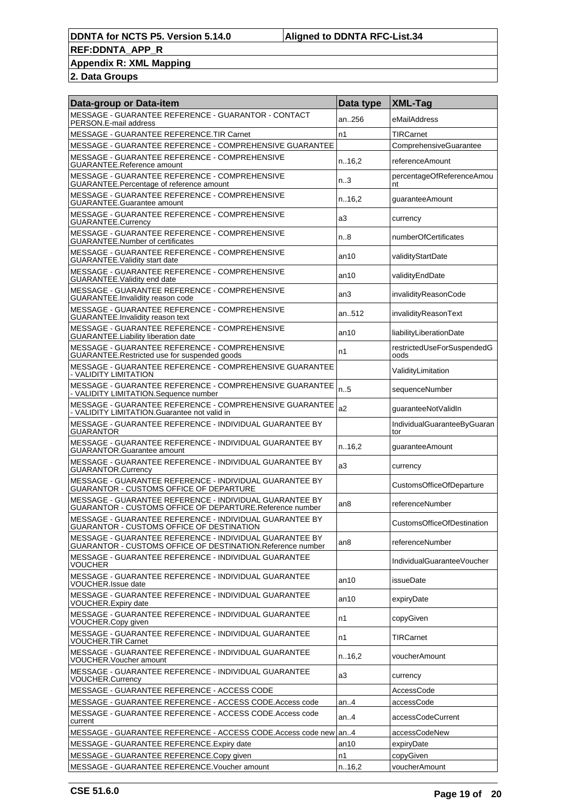### **Appendix R: XML Mapping**

| Data-group or Data-item                                                                                               | Data type       | <b>XML-Tag</b>                     |
|-----------------------------------------------------------------------------------------------------------------------|-----------------|------------------------------------|
| MESSAGE - GUARANTEE REFERENCE - GUARANTOR - CONTACT<br>PERSON.E-mail address                                          | an256           | eMailAddress                       |
| MESSAGE - GUARANTEE REFERENCE.TIR Carnet                                                                              | n1              | <b>TIRCarnet</b>                   |
| MESSAGE - GUARANTEE REFERENCE - COMPREHENSIVE GUARANTEE                                                               |                 | ComprehensiveGuarantee             |
| MESSAGE - GUARANTEE REFERENCE - COMPREHENSIVE<br>GUARANTEE.Reference amount                                           | n16,2           | referenceAmount                    |
| MESSAGE - GUARANTEE REFERENCE - COMPREHENSIVE<br>GUARANTEE.Percentage of reference amount                             | n.3             | percentageOfReferenceAmou<br>nt    |
| MESSAGE - GUARANTEE REFERENCE - COMPREHENSIVE<br>GUARANTEE.Guarantee amount                                           | n.16.2          | guaranteeAmount                    |
| MESSAGE - GUARANTEE REFERENCE - COMPREHENSIVE<br>GUARANTEE.Currency                                                   | a3              | currency                           |
| MESSAGE - GUARANTEE REFERENCE - COMPREHENSIVE<br><b>GUARANTEE.Number of certificates</b>                              | n.8             | numberOfCertificates               |
| MESSAGE - GUARANTEE REFERENCE - COMPREHENSIVE<br><b>GUARANTEE. Validity start date</b>                                | an10            | validityStartDate                  |
| MESSAGE - GUARANTEE REFERENCE - COMPREHENSIVE<br><b>GUARANTEE. Validity end date</b>                                  | an10            | validityEndDate                    |
| MESSAGE - GUARANTEE REFERENCE - COMPREHENSIVE<br>GUARANTEE.Invalidity reason code                                     | an3             | invalidityReasonCode               |
| MESSAGE - GUARANTEE REFERENCE - COMPREHENSIVE<br><b>GUARANTEE.Invalidity reason text</b>                              | an512           | invalidityReasonText               |
| MESSAGE - GUARANTEE REFERENCE - COMPREHENSIVE<br><b>GUARANTEE.Liability liberation date</b>                           | an10            | liabilityLiberationDate            |
| MESSAGE - GUARANTEE REFERENCE - COMPREHENSIVE<br>GUARANTEE.Restricted use for suspended goods                         | n1              | restrictedUseForSuspendedG<br>oods |
| MESSAGE - GUARANTEE REFERENCE - COMPREHENSIVE GUARANTEE<br>- VALIDITY LIMITATION                                      |                 | ValidityLimitation                 |
| MESSAGE - GUARANTEE REFERENCE - COMPREHENSIVE GUARANTEE<br>- VALIDITY LIMITATION.Sequence number                      | n.5             | sequenceNumber                     |
| MESSAGE - GUARANTEE REFERENCE - COMPREHENSIVE GUARANTEE<br>- VALIDITY LIMITATION.Guarantee not valid in               | a2              | guaranteeNotValidIn                |
| MESSAGE - GUARANTEE REFERENCE - INDIVIDUAL GUARANTEE BY<br>GUARANTOR                                                  |                 | IndividualGuaranteeByGuaran<br>tor |
| MESSAGE - GUARANTEE REFERENCE - INDIVIDUAL GUARANTEE BY<br><b>GUARANTOR.Guarantee amount</b>                          | n16,2           | guaranteeAmount                    |
| MESSAGE - GUARANTEE REFERENCE - INDIVIDUAL GUARANTEE BY<br><b>GUARANTOR.Currency</b>                                  | a3              | currency                           |
| MESSAGE - GUARANTEE REFERENCE - INDIVIDUAL GUARANTEE BY<br><b>GUARANTOR - CUSTOMS OFFICE OF DEPARTURE</b>             |                 | <b>CustomsOfficeOfDeparture</b>    |
| MESSAGE - GUARANTEE REFERENCE - INDIVIDUAL GUARANTEE BY<br>GUARANTOR - CUSTOMS OFFICE OF DEPARTURE.Reference number   | an8             | referenceNumber                    |
| MESSAGE - GUARANTEE REFERENCE - INDIVIDUAL GUARANTEE BY<br><b>GUARANTOR - CUSTOMS OFFICE OF DESTINATION</b>           |                 | <b>CustomsOfficeOfDestination</b>  |
| MESSAGE - GUARANTEE REFERENCE - INDIVIDUAL GUARANTEE BY<br>GUARANTOR - CUSTOMS OFFICE OF DESTINATION.Reference number | an <sub>8</sub> | referenceNumber                    |
| MESSAGE - GUARANTEE REFERENCE - INDIVIDUAL GUARANTEE<br>VOUCHER                                                       |                 | IndividualGuaranteeVoucher         |
| MESSAGE - GUARANTEE REFERENCE - INDIVIDUAL GUARANTEE<br><b>VOUCHER.Issue date</b>                                     | an10            | issueDate                          |
| MESSAGE - GUARANTEE REFERENCE - INDIVIDUAL GUARANTEE<br><b>VOUCHER.Expiry date</b>                                    | an10            | expiryDate                         |
| MESSAGE - GUARANTEE REFERENCE - INDIVIDUAL GUARANTEE<br>VOUCHER.Copy given                                            | n1              | copyGiven                          |
| MESSAGE - GUARANTEE REFERENCE - INDIVIDUAL GUARANTEE<br><b>VOUCHER.TIR Carnet</b>                                     | n1              | TIRCarnet                          |
| MESSAGE - GUARANTEE REFERENCE - INDIVIDUAL GUARANTEE<br>VOUCHER. Voucher amount                                       | n.16,2          | voucherAmount                      |
| MESSAGE - GUARANTEE REFERENCE - INDIVIDUAL GUARANTEE<br>VOUCHER.Currency                                              | a3              | currency                           |
| MESSAGE - GUARANTEE REFERENCE - ACCESS CODE                                                                           |                 | AccessCode                         |
| MESSAGE - GUARANTEE REFERENCE - ACCESS CODE.Access code                                                               | an. $.4$        | accessCode                         |
| MESSAGE - GUARANTEE REFERENCE - ACCESS CODE.Access code<br>current                                                    | an. $.4$        | accessCodeCurrent                  |
| MESSAGE - GUARANTEE REFERENCE - ACCESS CODE.Access code new                                                           | an4             | accessCodeNew                      |
| MESSAGE - GUARANTEE REFERENCE. Expiry date                                                                            | an10            | expiryDate                         |
| MESSAGE - GUARANTEE REFERENCE.Copy given                                                                              | n1              | copyGiven                          |
| MESSAGE - GUARANTEE REFERENCE. Voucher amount                                                                         | n.16,2          | voucherAmount                      |